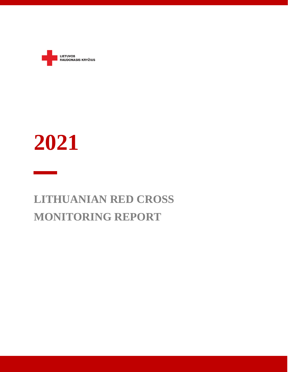

# **2021**

# **LITHUANIAN RED CROSS MONITORING REPORT**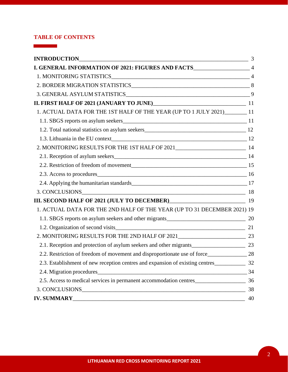# **TABLE OF CONTENTS**

 $\mathcal{L}^{\text{max}}_{\text{max}}$  , where  $\mathcal{L}^{\text{max}}_{\text{max}}$ 

| I. GENERAL INFORMATION OF 2021: FIGURES AND FACTS________________________________ 4 |    |
|-------------------------------------------------------------------------------------|----|
|                                                                                     |    |
|                                                                                     |    |
|                                                                                     |    |
|                                                                                     |    |
| 1. ACTUAL DATA FOR THE 1ST HALF OF THE YEAR (UP TO 1 JULY 2021)________ 11          |    |
|                                                                                     |    |
|                                                                                     |    |
|                                                                                     |    |
| 2. MONITORING RESULTS FOR THE 1ST HALF OF 2021__________________________________14  |    |
|                                                                                     |    |
|                                                                                     |    |
| 2.3. Access to procedures 16                                                        |    |
|                                                                                     |    |
| 3. CONCLUSIONS 18                                                                   |    |
| III. SECOND HALF OF 2021 (JULY TO DECEMBER) [19]                                    |    |
| 1. ACTUAL DATA FOR THE 2ND HALF OF THE YEAR (UP TO 31 DECEMBER 2021) 19             |    |
|                                                                                     |    |
| 1.2. Organization of second visits 21                                               |    |
|                                                                                     |    |
|                                                                                     |    |
|                                                                                     |    |
| 2.3. Establishment of new reception centres and expansion of existing centres 22    |    |
| 2.4. Migration procedures                                                           | 34 |
| 2.5. Access to medical services in permanent accommodation centres                  | 36 |
|                                                                                     | 38 |
|                                                                                     | 40 |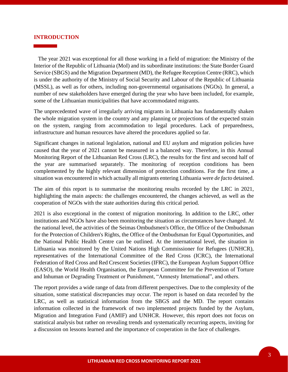#### **INTRODUCTION**

 The year 2021 was exceptional for all those working in a field of migration: the Ministry of the Interior of the Republic of Lithuania (MoI) and its subordinate institutions: the State Border Guard Service (SBGS) and the Migration Department (MD), the Refugee Reception Centre (RRC), which is under the authority of the Ministry of Social Security and Labour of the Republic of Lithuania (MSSL), as well as for others, including non-governmental organisations (NGOs). In general, a number of new stakeholders have emerged during the year who have been included, for example, some of the Lithuanian municipalities that have accommodated migrants.

The unprecedented wave of irregularly arriving migrants in Lithuania has fundamentally shaken the whole migration system in the country and any planning or projections of the expected strain on the system, ranging from accommodation to legal procedures. Lack of preparedness, infrastructure and human resources have altered the procedures applied so far.

Significant changes in national legislation, national and EU asylum and migration policies have caused that the year of 2021 cannot be measured in a balanced way. Therefore, in this Annual Monitoring Report of the Lithuanian Red Cross (LRC), the results for the first and second half of the year are summarised separately. The monitoring of reception conditions has been complemented by the highly relevant dimension of protection conditions. For the first time, a situation was encountered in which actually all migrants entering Lithuania were *de facto* detained.

The aim of this report is to summarise the monitoring results recorded by the LRC in 2021, highlighting the main aspects: the challenges encountered, the changes achieved, as well as the cooperation of NGOs with the state authorities during this critical period.

2021 is also exceptional in the context of migration monitoring. In addition to the LRC, other institutions and NGOs have also been monitoring the situation as circumstances have changed. At the national level, the activities of the Seimas Ombudsmen's Office, the Office of the Ombudsman for the Protection of Children's Rights, the Office of the Ombudsman for Equal Opportunities, and the National Public Health Centre can be outlined. At the international level, the situation in Lithuania was monitored by the United Nations High Commissioner for Refugees (UNHCR), representatives of the International Committee of the Red Cross (ICRC), the International Federation of Red Cross and Red Crescent Societies (IFRC), the European Asylum Support Office (EASO), the World Health Organisation, the European Committee for the Prevention of Torture and Inhuman or Degrading Treatment or Punishment, "Amnesty International", and others.

The report provides a wide range of data from different perspectives. Due to the complexity of the situation, some statistical discrepancies may occur. The report is based on data recorded by the LRC, as well as statistical information from the SBGS and the MD. The report contains information collected in the framework of two implemented projects funded by the Asylum, Migration and Integration Fund (AMIF) and UNHCR. However, this report does not focus on statistical analysis but rather on revealing trends and systematically recurring aspects, inviting for a discussion on lessons learned and the importance of cooperation in the face of challenges.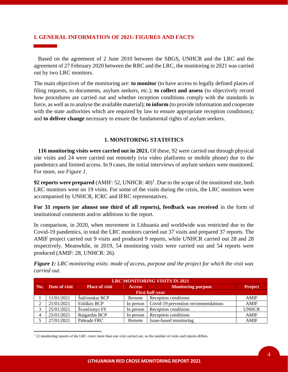# **I. GENERAL INFORMATION OF 2021: FIGURES AND FACTS**

 Based on the agreement of 2 June 2010 between the SBGS, UNHCR and the LRC and the agreement of 27 February 2020 between the RRC and the LRC, the monitoring in 2021 was carried out by two LRC monitors.

The main objectives of the monitoring are: **to monitor** (to have access to legally defined places of filing requests, to documents, asylum seekers, etc.); **to collect and assess** (to objectively record how procedures are carried out and whether reception conditions comply with the standards in force, as well as to analyse the available material); **to inform** (to provide information and cooperate with the state authorities which are required by law to ensure appropriate reception conditions); and **to deliver change** necessary to ensure the fundamental rights of asylum seekers.

# **1. MONITORING STATISTICS**

 **116 monitoring visits were carried out in 2021.** Of these, 92 were carried out through physical site visits and 24 were carried out remotely (via video platforms or mobile phone) due to the pandemics and limited access. In 9 cases, the initial interviews of asylum seekers were monitored. For more, *see Figure 1.*

**92 reports were prepared** (AMIF: 52, UNHCR:  $40$ )<sup>1</sup>. Due to the scope of the monitored site, both LRC monitors went on 19 visits. For some of the visits during the crisis, the LRC monitors were accompanied by UNHCR, ICRC and IFRC representatives.

**For 31 reports (or almost one third of all reports), feedback was received** in the form of institutional comments and/or additions to the report.

In comparison, in 2020, when movement in Lithuania and worldwide was restricted due to the Covid-19 pandemics, in total the LRC monitors carried out 37 visits and prepared 37 reports. The AMIF project carried out 9 visits and produced 9 reports, while UNHCR carried out 28 and 28 respectively. Meanwhile, in 2019, 54 monitoring visits were carried out and 54 reports were produced (AMIF: 28, UNHCR: 26).

*Figure 1: LRC monitoring visits: mode of access, purpose and the project for which the visit was carried out.*

| <b>LRC MONITORING VISITS IN 2021</b> |                        |                       |               |                                     |              |
|--------------------------------------|------------------------|-----------------------|---------------|-------------------------------------|--------------|
| No.                                  | Date of visit          | <b>Place of visit</b> | <b>Access</b> | <b>Monitoring purpose</b>           | Project      |
|                                      | <b>First half-year</b> |                       |               |                                     |              |
|                                      | 11/01/2021             | Šalčininkai BCP       | Remote        | Reception conditions                | <b>AMIF</b>  |
|                                      | 21/01/2021             | Eišiškės BCP          | In person     | Covid-19 prevention recommendations | <b>AMIF</b>  |
| 2                                    | 25/01/2021             | Švenčionys FS         | In person     | Reception conditions                | <b>UNHCR</b> |
|                                      | 25/01/2021             | Raigardas BCP         | In person     | Reception conditions                | <b>AMIF</b>  |
|                                      | 27/01/2021             | Pabradė FRC           | Remote        | Issue-based monitoring              | <b>AMIF</b>  |

<sup>&</sup>lt;sup>1</sup> 12 monitoring reports of the LRC cover more than one visit carried out, so the number of visits and reports differs.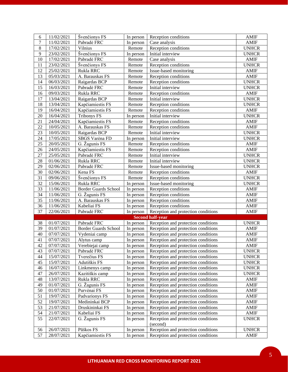| 6              | 11/02/2021               | Švenčionys FS                 | In person              | Reception conditions                                                       | <b>AMIF</b>          |
|----------------|--------------------------|-------------------------------|------------------------|----------------------------------------------------------------------------|----------------------|
| $\overline{7}$ | 11/02/2021               | Pabradė FRC                   | In person              | Case analysis                                                              | <b>AMIF</b>          |
| $\,8\,$        | 17/02/2021               | Vilnius                       | Remote                 | Reception conditions                                                       | <b>UNHCR</b>         |
| 9              | 23/02/2021               | Švenčionys FS                 | In person              | Initial interview                                                          | <b>UNHCR</b>         |
| 10             | 17/02/2021               | Pabradė FRC                   | Remote                 | Case analysis                                                              | <b>AMIF</b>          |
| 11             | 23/02/2021               | Švenčionys FS                 | Remote                 | Reception conditions                                                       | <b>UNHCR</b>         |
| 12             | 25/02/2021               | Rukla RRC                     | Remote                 | Issue-based monitoring                                                     | AMIF                 |
| 13             | 05/03/2021               | A. Barauskas FS               | Remote                 | Reception conditions                                                       | <b>AMIF</b>          |
| 14             | 06/03/2021               | Raigardas BCP                 | Remote                 | Reception conditions                                                       | <b>UNHCR</b>         |
| 15             | 16/03/2021               | Pabradė FRC                   | Remote                 | Initial interview                                                          | <b>UNHCR</b>         |
| 16             | 09/03/2021               | Rukla RRC                     | Remote                 | Reception conditions                                                       | <b>AMIF</b>          |
| 17             | 13/04/2021               | Raigardas BCP                 | Remote                 | Initial interview                                                          | <b>UNHCR</b>         |
| 18             | 13/04/2021               | Kapčiamiestis FS              | Remote                 | Reception conditions                                                       | <b>UNHCR</b>         |
| 19             | 16/04/2021               | Kapčiamiestis FS              | Remote                 | Reception conditions                                                       | AMIF                 |
| 20             | 16/04/2021               | <b>Tribonys FS</b>            | In person              | Initial interview                                                          | <b>UNHCR</b>         |
| 21             | 24/04/2021               | Kapčiamiestis FS              | Remote                 | Reception conditions                                                       | AMIF                 |
| 22             | 10/05/2021               | A. Barauskas FS               | Remote                 | Reception conditions                                                       | <b>AMIF</b>          |
| 23             | 10/05/2021               | Raigardas BCP                 | Remote                 | Initial interview                                                          | <b>UNHCR</b>         |
| 24             | 17/05/2021               | SBGS Varėna FD                | In person              | Initial interview                                                          | <b>UNHCR</b>         |
| 25             | 20/05/2021               | G. Žagunis FS                 | Remote                 | Reception conditions                                                       | AMIF                 |
| 26             | 24/05/2021               | Kapčiamiestis FS              | Remote                 | Reception conditions                                                       | <b>AMIF</b>          |
| 27             | 25/05/2021               | Pabradė FRC                   | Remote                 | Initial interview                                                          | <b>UNHCR</b>         |
| 28             | 01/06/2021               | Rukla RRC                     | Remote                 | Initial interview                                                          | <b>UNHCR</b>         |
| 29             | $\overline{02/06}/2021$  | Pabradė FRC                   | Remote                 | Issue-based monitoring                                                     | <b>UNHCR</b>         |
| 30             | 02/06/2021               | Kena FS                       | Remote                 | Reception conditions                                                       | AMIF                 |
| 31             | 09/06/2021               | Švenčionys FS                 | Remote                 | Reception conditions                                                       | <b>UNHCR</b>         |
| 32             | 15/06/2021               | Rukla RRC                     | In person              | Issue-based monitoring                                                     | <b>UNHCR</b>         |
| 33             | 11/06/2021               | <b>Border Guards School</b>   | In person              | Reception conditions                                                       | AMIF                 |
| 34             | 11/06/2021               | G. Žagunis FS                 | In person              | Reception conditions                                                       | <b>AMIF</b>          |
| 35             | 11/06/2021               | A. Barauskas FS               | In person              | Reception conditions                                                       | <b>AMIF</b>          |
| 36             | 11/06/2021               | Kabeliai FS                   | In person              | Reception conditions                                                       | <b>AMIF</b>          |
| 37             | 22/06/2021               | Pabradė FRC                   | In person              | Reception and protection conditions                                        | AMIF                 |
|                |                          |                               |                        | <b>Second half-year</b>                                                    |                      |
| 38             | 01/07/2021               | Pabradė FRC                   | In person              | Reception and protection conditions                                        | <b>UNHCR</b>         |
| 39             | 01/07/2021               | <b>Border Guards School</b>   | In person              | Reception and protection conditions                                        | <b>AMIF</b>          |
| 40             | 07/07/2021               | Vydeniai camp                 | In person              | Reception and protection conditions                                        | <b>AMIF</b>          |
| 41             | 07/07/2021               | Alytus camp                   | In person              | Reception and protection conditions                                        | AMIF                 |
| 42             | 07/07/2021               | Verebiejai camp               | In person              | Reception and protection conditions                                        | AMIF                 |
| 43             | 07/07/2021               | Pabradė FRC                   | In person              | Reception and protection conditions                                        | <b>UNHCR</b>         |
| 44             | 15/07/2021               | Tverečius FS                  | In person              | Reception and protection conditions                                        | <b>UNHCR</b>         |
| 45             | 15/07/2021               | Adutiškis FS                  | In person              | Reception and protection conditions                                        | <b>UNHCR</b>         |
| 46             | 16/07/2021               | Linkmenys camp                | In person              | Reception and protection conditions                                        | <b>UNHCR</b>         |
| 47             | 26/07/2021               | Kazitiškis camp               | In person              | Reception and protection conditions                                        | <b>UNHCR</b>         |
| 48             | 13/07/2021               | Rukla RRC                     | In person              | Reception and protection conditions                                        | <b>AMIF</b>          |
| 49             | 01/07/2021               | G. Žagunis FS                 | In person              | Reception and protection conditions                                        | <b>AMIF</b>          |
| 50             | 01/07/2021               | Purvėnai FS                   | In person              | Reception and protection conditions                                        | AMIF                 |
| 51             | 19/07/2021               | Padvarionys FS                | In person              | Reception and protection conditions                                        | AMIF                 |
| 52             | 19/07/2021               | Medininkai BCP                | In person              | Reception and protection conditions                                        | AMIF                 |
| 53             | 21/07/2021               | Druskininkai FS               | In person              | Reception and protection conditions                                        | AMIF                 |
| 54             | 21/07/2021               | Kabeliai FS                   | In person              | Reception and protection conditions                                        | AMIF                 |
| 55             | 22/07/2021               | G. Žagunis FS                 | In person              | Reception and protection conditions                                        | <b>UNHCR</b>         |
| 56             |                          |                               |                        | (second)                                                                   |                      |
|                |                          |                               |                        |                                                                            |                      |
| 57             | 26/07/2021<br>28/07/2021 | Pūškos FS<br>Kapčiamiestis FS | In person<br>In person | Reception and protection conditions<br>Reception and protection conditions | <b>UNHCR</b><br>AMIF |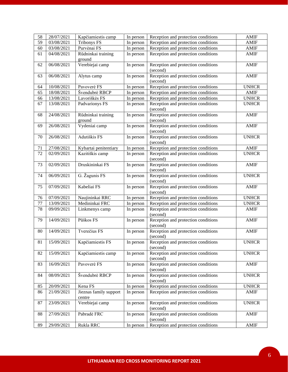| 58       | 28/07/2021               | Kapčiamiestis camp                       | In person | Reception and protection conditions                                        | <b>AMIF</b>          |
|----------|--------------------------|------------------------------------------|-----------|----------------------------------------------------------------------------|----------------------|
| 59       | 03/08/2021               | <b>Tribonys FS</b>                       | In person | Reception and protection conditions                                        | <b>AMIF</b>          |
| 60       | 03/08/2021               | Purvėnai FS                              | In person | Reception and protection conditions                                        | <b>AMIF</b>          |
| 61       | 04/08/2021               | Rūdninkai training                       | In person | Reception and protection conditions                                        | <b>AMIF</b>          |
|          |                          | ground                                   |           |                                                                            |                      |
| 62       | 06/08/2021               | Verebiejai camp                          | In person | Reception and protection conditions                                        | <b>AMIF</b>          |
|          |                          |                                          |           | (second)                                                                   |                      |
| 63       | 06/08/2021               | Alytus camp                              | In person | Reception and protection conditions                                        | <b>AMIF</b>          |
|          |                          |                                          |           | (second)                                                                   |                      |
| 64       | 10/08/2021               | Pavoverė FS                              | In person | Reception and protection conditions                                        | <b>UNHCR</b>         |
| 65       | 18/08/2021               | Švendubrė RBCP                           | In person | Reception and protection conditions                                        | <b>AMIF</b>          |
| 66       | 13/08/2021               | Lavoriškės FS                            | In person | Reception and protection conditions                                        | <b>UNHCR</b>         |
| 67       | 13/08/2021               | Padvarionys FS                           | In person | Reception and protection conditions                                        | <b>UNHCR</b>         |
|          |                          |                                          |           | (second)                                                                   |                      |
| 68       | 24/08/2021               | Rūdninkai training                       | In person | Reception and protection conditions                                        | <b>AMIF</b>          |
|          |                          | ground                                   |           | (second)                                                                   |                      |
| 69       | 26/08/2021               | Vydeniai camp                            | In person | Reception and protection conditions                                        | <b>AMIF</b>          |
|          |                          |                                          |           | (second)                                                                   |                      |
| 70       | 26/08/2021               | Adutiškis FS                             | In person | Reception and protection conditions                                        | <b>UNHCR</b>         |
|          |                          |                                          |           | (second)                                                                   |                      |
| 71<br>72 | 27/08/2021<br>02/09/2021 | Kybartai penitentiary<br>Kazitiškis camp | In person | Reception and protection conditions<br>Reception and protection conditions | AMIF<br><b>UNHCR</b> |
|          |                          |                                          | In person | (second)                                                                   |                      |
| 73       | 02/09/2021               | Druskininkai FS                          | In person | Reception and protection conditions                                        | <b>AMIF</b>          |
|          |                          |                                          |           | (second)                                                                   |                      |
| 74       | 06/09/2021               | G. Žagunis FS                            | In person | Reception and protection conditions                                        | <b>UNHCR</b>         |
|          |                          |                                          |           | (second)                                                                   |                      |
| 75       | 07/09/2021               | Kabeliai FS                              | In person | Reception and protection conditions                                        | <b>AMIF</b>          |
|          |                          |                                          |           | (second)                                                                   |                      |
| 76       | 07/09/2021               | Naujininkai RRC                          | In person | Reception and protection conditions                                        | <b>UNHCR</b>         |
| 77       | 13/09/2021               | Medininkai FRC                           | In person | Reception and protection conditions                                        | <b>UNHCR</b>         |
| 78       | 09/09/2021               | Linkmenys camp                           | In person | Reception and protection conditions                                        | <b>AMIF</b>          |
|          |                          |                                          |           | (second)                                                                   |                      |
| 79       | 14/09/2021               | Pūškos FS                                | In person | Reception and protection conditions                                        | <b>AMIF</b>          |
|          |                          |                                          |           | (second)                                                                   |                      |
| 80       | 14/09/2021               | Tverečius FS                             | In person | Reception and protection conditions                                        | <b>AMIF</b>          |
|          |                          |                                          |           | (second)                                                                   |                      |
| 81       | 15/09/2021               | Kapčiamiestis FS                         | In person | Reception and protection conditions                                        | <b>UNHCR</b>         |
|          |                          |                                          |           | (second)                                                                   |                      |
| 82       | 15/09/2021               | Kapčiamiestis camp                       | In person | Reception and protection conditions<br>(second)                            | <b>UNHCR</b>         |
| 83       | 16/09/2021               | Pavoverė FS                              | In person | Reception and protection conditions                                        | <b>AMIF</b>          |
|          |                          |                                          |           | (second)                                                                   |                      |
| 84       | 08/09/2021               | Švendubrė RBCP                           | In person | Reception and protection conditions                                        | <b>UNHCR</b>         |
|          |                          |                                          |           | (second)                                                                   |                      |
| 85       | 20/09/2021               | Kena FS                                  | In person | Reception and protection conditions                                        | <b>UNHCR</b>         |
| 86       | 21/09/2021               | Jieznas family support                   | In person | Reception and protection conditions                                        | <b>AMIF</b>          |
|          |                          | centre                                   |           |                                                                            |                      |
| 87       | 23/09/2021               | Verebiejai camp                          | In person | Reception and protection conditions                                        | <b>UNHCR</b>         |
|          |                          |                                          |           | (second)                                                                   |                      |
| 88       | 27/09/2021               | Pabradė FRC                              | In person | Reception and protection conditions                                        | <b>AMIF</b>          |
|          |                          |                                          |           | (second)                                                                   |                      |
| 89       | 29/09/2021               | Rukla RRC                                | In person | Reception and protection conditions                                        | <b>AMIF</b>          |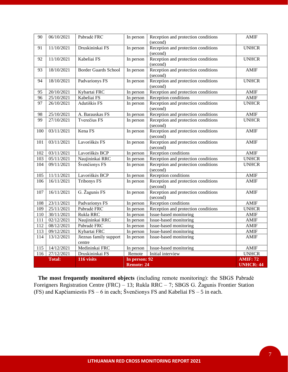| 90  | 06/10/2021    | Pabradė FRC                      | In person         | Reception and protection conditions<br>(second) | <b>AMIF</b>      |
|-----|---------------|----------------------------------|-------------------|-------------------------------------------------|------------------|
| 91  | 11/10/2021    | Druskininkai FS                  | In person         | Reception and protection conditions<br>(second) | <b>UNHCR</b>     |
| 92  | 11/10/2021    | Kabeliai FS                      | In person         | Reception and protection conditions<br>(second) | <b>UNHCR</b>     |
| 93  | 18/10/2021    | <b>Border Guards School</b>      | In person         | Reception and protection conditions<br>(second) | <b>AMIF</b>      |
| 94  | 18/10/2021    | Padvarionys FS                   | In person         | Reception and protection conditions<br>(second) | <b>UNHCR</b>     |
| 95  | 20/10/2021    | Kybartai FRC                     | In person         | Reception and protection conditions             | <b>AMIF</b>      |
| 96  | 25/10/2021    | Kabeliai FS                      | In person         | Reception conditions                            | <b>AMIF</b>      |
| 97  | 26/10/2021    | Adutiškis FS                     | In person         | Reception and protection conditions<br>(second) | <b>UNHCR</b>     |
| 98  | 25/10/2021    | A. Barauskas FS                  | In person         | Reception and protection conditions             | <b>AMIF</b>      |
| 99  | 27/10/2021    | Tverečius FS                     | In person         | Reception and protection conditions<br>(second) | <b>UNHCR</b>     |
| 100 | 03/11/2021    | Kena FS                          | In person         | Reception and protection conditions<br>(second) | <b>AMIF</b>      |
| 101 | 03/11/2021    | Lavoriškės FS                    | In person         | Reception and protection conditions<br>(second) | <b>AMIF</b>      |
| 102 | 03/11/2021    | Lavoriškės BCP                   | In person         | Reception conditions                            | <b>AMIF</b>      |
| 103 | 05/11/2021    | Naujininkai RRC                  | In person         | Reception and protection conditions             | <b>UNHCR</b>     |
| 104 | 09/11/2021    | Švenčionys FS                    | In person         | Reception and protection conditions<br>(second) | <b>UNHCR</b>     |
| 105 | 11/11/2021    | Lavoriškės BCP                   | In person         | Reception conditions                            | <b>AMIF</b>      |
| 106 | 16/11/2021    | <b>Tribonys FS</b>               | In person         | Reception and protection conditions<br>(second) | <b>AMIF</b>      |
| 107 | 16/11/2021    | G. Žagunis FS                    | In person         | Reception and protection conditions<br>(second) | <b>AMIF</b>      |
| 108 | 23/11/2021    | Padvarionys FS                   | In person         | Reception conditions                            | <b>AMIF</b>      |
| 109 | 25/11/2021    | Pabradė FRC                      | In person         | Reception and protection conditions             | <b>UNHCR</b>     |
| 110 | 30/11/2021    | Rukla RRC                        | In person         | Issue-based monitoring                          | <b>AMIF</b>      |
| 111 | 02/12/2021    | Naujininkai RRC                  | In person         | Issue-based monitoring                          | <b>AMIF</b>      |
| 112 | 08/12/2021    | Pabradė FRC                      | In person         | Issue-based monitoring                          | <b>AMIF</b>      |
| 113 | 09/12/2021    | Kybartai FRC                     | In person         | Issue-based monitoring                          | <b>AMIF</b>      |
| 114 | 13/12/2021    | Jieznas family support<br>centre | In person         | Issue-based monitoring                          | <b>AMIF</b>      |
| 115 | 14/12/2021    | Medininkai FRC                   | In person         | Issue-based monitoring                          | <b>AMIF</b>      |
| 116 | 27/12/2021    | Druskininkai FS                  | Remote            | Initial interview                               | <b>UNHCR</b>     |
|     | <b>Total:</b> | 116 visits                       | In person: 92     |                                                 | <b>AMIF: 72</b>  |
|     |               |                                  | <b>Remote: 24</b> |                                                 | <b>UNHCR: 44</b> |

 **The most frequently monitored objects** (including remote monitoring): the SBGS Pabradė Foreigners Registration Centre (FRC) – 13; Rukla RRC – 7; SBGS G. Žagunis Frontier Station (FS) and Kapčiamiestis FS – 6 in each; Švenčionys FS and Kabeliai FS – 5 in each.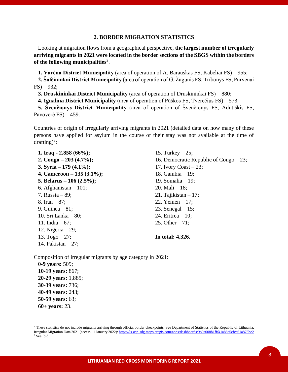# **2. BORDER MIGRATION STATISTICS**

 Looking at migration flows from a geographical perspective, **the largest number of irregularly arriving migrants in 2021 were located in the border sections of the SBGS within the borders of the following municipalities**<sup>2</sup> .

 **1. Varėna District Municipality** (area of operation of A. Barauskas FS, Kabeliai FS) – 955;

 **2. Šalčininkai District Municipality** (area of operation of G. Žagunis FS, Tribonys FS, Purvėnai  $FS - 932$ ;

**3. Druskininkai District Municipality** (area of operation of Druskininkai FS) – 880;

 **4. Ignalina District Municipality** (area of operation of Pūškos FS, Tverečius FS) – 573;

 **5. Švenčionys District Municipality** (area of operation of Švenčionys FS, Adutiškis FS, Pavoverė FS) – 459.

Countries of origin of irregularly arriving migrants in 2021 (detailed data on how many of these persons have applied for asylum in the course of their stay was not available at the time of drafting)<sup>3</sup>:

 **1. Iraq - 2,858 (66%); 2. Congo – 203 (4.7%); 3. Syria – 179 (4.1%); 4. Cameroon – 135 (3.1%); 5. Belarus – 106 (2.5%);** 6. Afghanistan – 101; 7. Russia – 89; 8. Iran – 87; 9. Guinea – 81; 10. Sri Lanka – 80; 11. India – 67; 12. Nigeria – 29; 13. Togo – 27; 14. Pakistan – 27;

 15. Turkey – 25; 16. Democratic Republic of Congo – 23; 17. Ivory Coast  $-23$ ; 18. Gambia – 19; 19. Somalia – 19; 20. Mali – 18; 21. Tajikistan – 17; 22. Yemen – 17; 23. Senegal – 15; 24. Eritrea – 10; 25. Other – 71;  **In total: 4,326.**

Composition of irregular migrants by age category in 2021:

 **0-9 years:** 509;  **10-19 years:** 867;  **20-29 years:** 1,885;  **30-39 years:** 736;  **40-49 years:** 243;  **50-59 years:** 63;  **60+ years:** 23.

 $2$  These statistics do not include migrants arriving through official border checkpoints. See Department of Statistics of the Republic of Lithuania, Irregular Migration Data 2021 (access - 1 January 2022)[: https://ls-osp-sdg.maps.arcgis.com/apps/dashboards/9b0a008b1fff41a88c5efcc61a876be2](https://ls-osp-sdg.maps.arcgis.com/apps/dashboards/9b0a008b1fff41a88c5efcc61a876be2)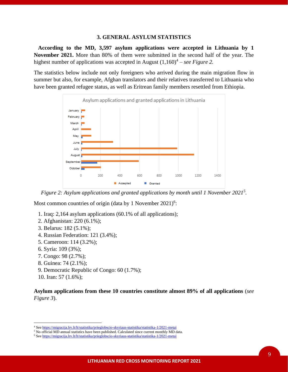# **3. GENERAL ASYLUM STATISTICS**

 **According to the MD, 3,597 asylum applications were accepted in Lithuania by 1 November 2021.** More than 80% of them were submitted in the second half of the year. The highest number of applications was accepted in August  $(1,160)^4$  – *see Figure 2*.

The statistics below include not only foreigners who arrived during the main migration flow in summer but also, for example, Afghan translators and their relatives transferred to Lithuania who have been granted refugee status, as well as Eritrean family members resettled from Ethiopia.



*Figure 2: Asylum applications and granted applications by month until 1 November 2021<sup>5</sup> .*

Most common countries of origin (data by 1 November  $2021$ )<sup>6</sup>:

- 1. Iraq: 2,164 asylum applications (60.1% of all applications);
- 2. Afghanistan: 220 (6.1%);
- 3. Belarus: 182 (5.1%);
- 4. Russian Federation: 121 (3.4%);
- 5. Cameroon: 114 (3.2%);
- 6. Syria: 109 (3%);
- 7. Congo: 98 (2.7%);
- 8. Guinea: 74 (2.1%);
- 9. Democratic Republic of Congo: 60 (1.7%);
- 10. Iran: 57 (1.6%);

**Asylum applications from these 10 countries constitute almost 89% of all applications** (*see Figure 3*).

9

<sup>4</sup> Se[e https://migracija.lrv.lt/lt/statistika/prieglobscio-skyriaus-statistika/statistika-1/2021-metai](https://migracija.lrv.lt/lt/statistika/prieglobscio-skyriaus-statistika/statistika-1/2021-metai)

<sup>&</sup>lt;sup>5</sup> No official MD annual statistics have been published. Calculated since current monthly MD data.

<sup>6</sup> Se[e https://migracija.lrv.lt/lt/statistika/prieglobscio-skyriaus-statistika/statistika-1/2021-metai](https://migracija.lrv.lt/lt/statistika/prieglobscio-skyriaus-statistika/statistika-1/2021-metai)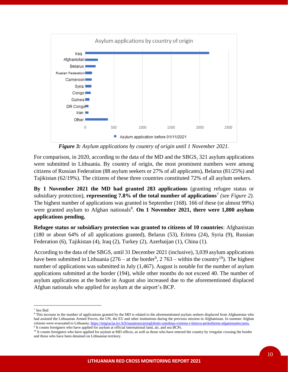

*Figure 3: Asylum applications by country of origin until 1 November 2021.*

For comparison, in 2020, according to the data of the MD and the SBGS, 321 asylum applications were submitted in Lithuania. By country of origin, the most prominent numbers were among citizens of Russian Federation (88 asylum seekers or 27% of all applicants), Belarus (81/25%) and Tajikistan (62/19%). The citizens of these three countries constituted 72% of all asylum seekers.

**By 1 November 2021 the MD had granted 283 applications** (granting refugee status or subsidiary protection), **representing 7.8% of the total number of applications**<sup>7</sup> *(see Figure 2).* The highest number of applications was granted in September (168). 166 of these (or almost 99%) were granted asylum to Afghan nationals<sup>8</sup>. On 1 November 2021, there were 1,800 asylum **applications pending.**

**Refugee status or subsidiary protection was granted to citizens of 10 countries**: Afghanistan (180 or about 64% of all applications granted), Belarus (53), Eritrea (24), Syria (9), Russian Federation (6), Tajikistan (4), Iraq (2), Turkey (2), Azerbaijan (1), China (1).

According to the data of the SBGS, until 31 December 2021 (inclusive), 3,039 asylum applications have been submitted in Lithuania (276 – at the border<sup>9</sup>, 2 763 – within the country<sup>10</sup>). The highest number of applications was submitted in July (1,467). August is notable for the number of asylum applications submitted at the border (194), while other months do not exceed 40. The number of asylum applications at the border in August also increased due to the aforementioned displaced Afghan nationals who applied for asylum at the airport's BCP.

<sup>7</sup> See Ibid

<sup>&</sup>lt;sup>8</sup> This increase in the number of applications granted by the MD is related to the aforementioned asylum seekers displaced from Afghanistan who had assisted the Lithuanian Armed Forces, the UN, the EU and other institutions during the previous mission in Afghanistan. In summer Afghan citizens were evacuated to Lithuania. [https://migracija.lrv.lt/lt/naujienos/prieglobstis-suteiktas-visiems-i-lietuva-perkeltiems-afganistanieciams.](https://migracija.lrv.lt/lt/naujienos/prieglobstis-suteiktas-visiems-i-lietuva-perkeltiems-afganistanieciams)

<sup>9</sup> It counts foreigners who have applied for asylum at official international land, air, and sea BCPs.

<sup>&</sup>lt;sup>10</sup> It counts foreigners who have applied for asylum at MD offices, as well as those who have entered the country by irregular crossing the border and those who have been detained on Lithuanian territory.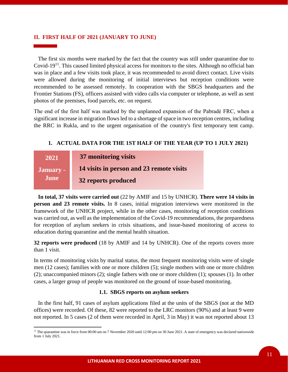# **II. FIRST HALF OF 2021 (JANUARY TO JUNE)**

 The first six months were marked by the fact that the country was still under quarantine due to Covid-19<sup>11</sup>. This caused limited physical access for monitors to the sites. Although no official ban was in place and a few visits took place, it was recommended to avoid direct contact. Live visits were allowed during the monitoring of initial interviews but reception conditions were recommended to be assessed remotely. In cooperation with the SBGS headquarters and the Frontier Stations (FS), officers assisted with video calls via computer or telephone, as well as sent photos of the premises, food parcels, etc. on request.

The end of the first half was marked by the unplanned expansion of the Pabradė FRC, when a significant increase in migration flows led to a shortage of space in two reception centres, including the RRC in Rukla, and to the urgent organisation of the country's first temporary tent camp.

# **1. ACTUAL DATA FOR THE 1ST HALF OF THE YEAR (UP TO 1 JULY 2021)**

| 2021      | 37 monitoring visits                     |
|-----------|------------------------------------------|
| January - | 14 visits in person and 23 remote visits |
| June      | 32 reports produced                      |

 **In total, 37 visits were carried out** (22 by AMIF and 15 by UNHCR). **There were 14 visits in person and 23 remote visits.** In 8 cases, initial migration interviews were monitored in the framework of the UNHCR project, while in the other cases, monitoring of reception conditions was carried out, as well as the implementation of the Covid-19 recommendations, the preparedness for reception of asylum seekers in crisis situations, and issue-based monitoring of access to education during quarantine and the mental health situation.

**32 reports were produced** (18 by AMIF and 14 by UNHCR). One of the reports covers more than 1 visit.

In terms of monitoring visits by marital status, the most frequent monitoring visits were of single men (12 cases); families with one or more children (5); single mothers with one or more children (2); unaccompanied minors (2); single fathers with one or more children (1); spouses (1). In other cases, a larger group of people was monitored on the ground of issue-based monitoring.

# **1.1. SBGS reports on asylum seekers**

 In the first half, 91 cases of asylum applications filed at the units of the SBGS (not at the MD offices) were recorded. Of these, 82 were reported to the LRC monitors (90%) and at least 9 were not reported. In 5 cases (2 of them were recorded in April, 3 in May) it was not reported about 13

<sup>&</sup>lt;sup>11</sup> The quarantine was in force from 00:00 am on 7 November 2020 until 12:00 pm on 30 June 2021. A state of emergency was declared nationwide from 1 July 2021.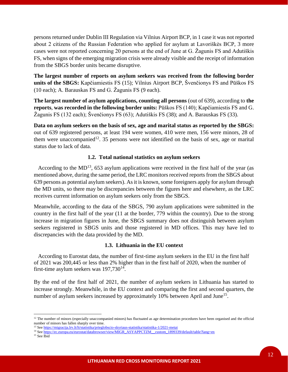persons returned under Dublin III Regulation via Vilnius Airport BCP, in 1 case it was not reported about 2 citizens of the Russian Federation who applied for asylum at Lavoriškės BCP, 3 more cases were not reported concerning 20 persons at the end of June at G. Žagunis FS and Adutiškis FS, when signs of the emerging migration crisis were already visible and the receipt of information from the SBGS border units became disruptive.

**The largest number of reports on asylum seekers was received from the following border units of the SBGS:** Kapčiamiestis FS (15); Vilnius Airport BCP, Švenčionys FS and Pūškos FS (10 each); A. Barauskas FS and G. Žagunis FS (9 each).

**The largest number of asylum applications, counting all persons** (out of 639), according to **the reports**, **was recorded in the following border units:** Pūškos FS (140); Kapčiamiestis FS and G. Žagunis FS (132 each); Švenčionys FS (63); Adutiškis FS (38); and A. Barauskas FS (33).

**Data on asylum seekers on the basis of sex, age and marital status as reported by the SBGS:** out of 639 registered persons, at least 194 were women, 410 were men, 156 were minors, 28 of them were unaccompanied<sup>12</sup>. 35 persons were not identified on the basis of sex, age or marital status due to lack of data.

# **1.2. Total national statistics on asylum seekers**

According to the  $MD<sup>13</sup>$ , 653 asylum applications were received in the first half of the year (as mentioned above, during the same period, the LRC monitors received reports from the SBGS about 639 persons as potential asylum seekers). As it is known, some foreigners apply for asylum through the MD units, so there may be discrepancies between the figures here and elsewhere, as the LRC receives current information on asylum seekers only from the SBGS.

Meanwhile, according to the data of the SBGS, 790 asylum applications were submitted in the country in the first half of the year (11 at the border, 779 within the country). Due to the strong increase in migration figures in June, the SBGS summary does not distinguish between asylum seekers registered in SBGS units and those registered in MD offices. This may have led to discrepancies with the data provided by the MD.

# **1.3. Lithuania in the EU context**

 According to Eurostat data, the number of first-time asylum seekers in the EU in the first half of 2021 was 200,445 or less than 2% higher than in the first half of 2020, when the number of first-time asylum seekers was  $197,730^{14}$ .

By the end of the first half of 2021, the number of asylum seekers in Lithuania has started to increase strongly. Meanwhile, in the EU context and comparing the first and second quarters, the number of asylum seekers increased by approximately 10% between April and June<sup>15</sup>.

 $12$  The number of minors (especially unaccompanied minors) has fluctuated as age determination procedures have been organised and the official number of minors has fallen sharply over time.

<sup>13</sup> Se[e https://migracija.lrv.lt/lt/statistika/prieglobscio-skyriaus-statistika/statistika-1/2021-metai](https://migracija.lrv.lt/lt/statistika/prieglobscio-skyriaus-statistika/statistika-1/2021-metai)

<sup>&</sup>lt;sup>14</sup> Se[e https://ec.europa.eu/eurostat/databrowser/view/MIGR\\_ASYAPPCTZM\\_\\_custom\\_1899339/default/table?lang=en](https://ec.europa.eu/eurostat/databrowser/view/MIGR_ASYAPPCTZM__custom_1899339/default/table?lang=en)

<sup>&</sup>lt;sup>15</sup> See Ibid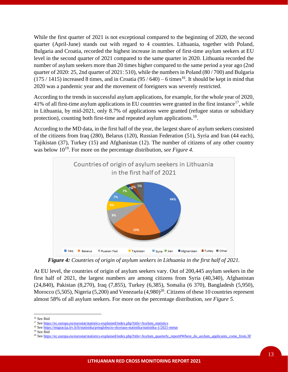While the first quarter of 2021 is not exceptional compared to the beginning of 2020, the second quarter (April-June) stands out with regard to 4 countries. Lithuania, together with Poland, Bulgaria and Croatia, recorded the highest increase in number of first-time asylum seekers at EU level in the second quarter of 2021 compared to the same quarter in 2020. Lithuania recorded the number of asylum seekers more than 20 times higher compared to the same period a year ago (2nd quarter of 2020: 25, 2nd quarter of 2021: 510), while the numbers in Poland (80 / 700) and Bulgaria  $(175/1415)$  increased 8 times, and in Croatia  $(95/640) - 6$  times<sup>16</sup>. It should be kept in mind that 2020 was a pandemic year and the movement of foreigners was severely restricted.

According to the trends in successful asylum applications, for example, for the whole year of 2020, 41% of all first-time asylum applications in EU countries were granted in the first instance<sup>17</sup>, while in Lithuania, by mid-2021, only 8.7% of applications were granted (refugee status or subsidiary protection), counting both first-time and repeated asylum applications.<sup>18</sup>.

According to the MD data, in the first half of the year, the largest share of asylum seekers consisted of the citizens from Iraq (280), Belarus (120), Russian Federation (51), Syria and Iran (44 each), Tajikistan (37), Turkey (15) and Afghanistan (12). The number of citizens of any other country was below  $10^{19}$ . For more on the percentage distribution, *see Figure 4*.



*Figure 4: Countries of origin of asylum seekers in Lithuania in the first half of 2021.*

At EU level, the countries of origin of asylum seekers vary. Out of 200,445 asylum seekers in the first half of 2021, the largest numbers are among citizens from Syria (40,340), Afghanistan (24,840), Pakistan (8,270), Iraq (7,855), Turkey (6,385), Somalia (6 370), Bangladesh (5,950), Morocco (5,505), Nigeria (5,200) and Venezuela  $(4,980)^{20}$ . Citizens of these 10 countries represent almost 58% of all asylum seekers. For more on the percentage distribution, *see Figure 5*.

<sup>&</sup>lt;sup>16</sup> See Ibid

<sup>&</sup>lt;sup>17</sup> Se[e https://ec.europa.eu/eurostat/statistics-explained/index.php?title=Asylum\\_statistics](https://ec.europa.eu/eurostat/statistics-explained/index.php?title=Asylum_statistics)

<sup>18</sup> Se[e https://migracija.lrv.lt/lt/statistika/prieglobscio-skyriaus-statistika/statistika-1/2021-metai](https://migracija.lrv.lt/lt/statistika/prieglobscio-skyriaus-statistika/statistika-1/2021-metai)

<sup>19</sup> See Ibid

<sup>&</sup>lt;sup>20</sup> Se[e https://ec.europa.eu/eurostat/statistics-explained/index.php?title=Asylum\\_quarterly\\_report#Where\\_do\\_asylum\\_applicants\\_come\\_from.3F](https://ec.europa.eu/eurostat/statistics-explained/index.php?title=Asylum_quarterly_report#Where_do_asylum_applicants_come_from.3F)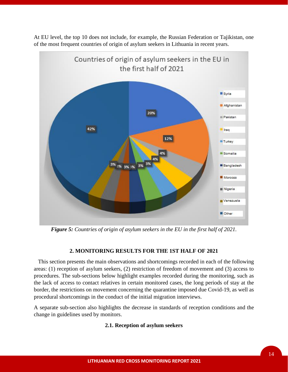

At EU level, the top 10 does not include, for example, the Russian Federation or Tajikistan, one of the most frequent countries of origin of asylum seekers in Lithuania in recent years.

*Figure 5: Countries of origin of asylum seekers in the EU in the first half of 2021.*

# **2. MONITORING RESULTS FOR THE 1ST HALF OF 2021**

 This section presents the main observations and shortcomings recorded in each of the following areas: (1) reception of asylum seekers, (2) restriction of freedom of movement and (3) access to procedures. The sub-sections below highlight examples recorded during the monitoring, such as the lack of access to contact relatives in certain monitored cases, the long periods of stay at the border, the restrictions on movement concerning the quarantine imposed due Covid-19, as well as procedural shortcomings in the conduct of the initial migration interviews.

A separate sub-section also highlights the decrease in standards of reception conditions and the change in guidelines used by monitors.

# **2.1. Reception of asylum seekers**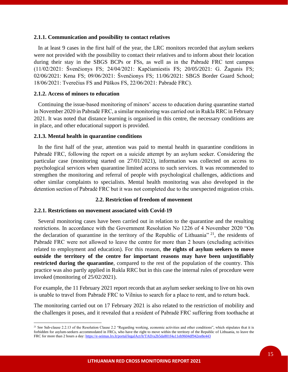#### **2.1.1. Communication and possibility to contact relatives**

 In at least 9 cases in the first half of the year, the LRC monitors recorded that asylum seekers were not provided with the possibility to contact their relatives and to inform about their location during their stay in the SBGS BCPs or FSs, as well as in the Pabradė FRC tent campus (11/02/2021: Švenčionys FS; 24/04/2021: Kapčiamiestis FS; 20/05/2021: G. Žagunis FS; 02/06/2021: Kena FS; 09/06/2021: Švenčionys FS; 11/06/2021: SBGS Border Guard School; 18/06/2021: Tverečius FS and Pūškos FS, 22/06/2021: Pabradė FRC).

# **2.1.2. Access of minors to education**

 Continuing the issue-based monitoring of minors' access to education during quarantine started in November 2020 in Pabradė FRC, a similar monitoring was carried out in Rukla RRC in February 2021. It was noted that distance learning is organised in this centre, the necessary conditions are in place, and other educational support is provided.

#### **2.1.3. Mental health in quarantine conditions**

 In the first half of the year, attention was paid to mental health in quarantine conditions in Pabradė FRC, following the report on a suicide attempt by an asylum seeker. Considering the particular case (monitoring started on 27/01/2021), information was collected on access to psychological services when quarantine limited access to such services. It was recommended to strengthen the monitoring and referral of people with psychological challenges, addictions and other similar complaints to specialists. Mental health monitoring was also developed in the detention section of Pabradė FRC but it was not completed due to the unexpected migration crisis.

#### **2.2. Restriction of freedom of movement**

### **2.2.1. Restrictions on movement associated with Covid-19**

 Several monitoring cases have been carried out in relation to the quarantine and the resulting restrictions. In accordance with the Government Resolution No 1226 of 4 November 2020 "On the declaration of quarantine in the territory of the Republic of Lithuania"  $21$ , the residents of Pabradė FRC were not allowed to leave the centre for more than 2 hours (excluding activities related to employment and education). For this reason, **the rights of asylum seekers to move outside the territory of the centre for important reasons may have been unjustifiably restricted during the quarantine**, compared to the rest of the population of the country. This practice was also partly applied in Rukla RRC but in this case the internal rules of procedure were invoked (monitoring of 25/02/2021).

For example, the 11 February 2021 report records that an asylum seeker seeking to live on his own is unable to travel from Pabradė FRC to Vilnius to search for a place to rent, and to return back.

The monitoring carried out on 17 February 2021 is also related to the restriction of mobility and the challenges it poses, and it revealed that a resident of Pabradė FRC suffering from toothache at

<sup>&</sup>lt;sup>21</sup> See Sub-clause 2.2.13 of the Resolution Clause 2.2 "Regarding working, economic activities and other conditions", which stipulates that it is forbidden for asylum-seekers accommodated in FRCs, who have the right to move within the territory of the Republic of Lithuania, to leave the FRC for more than 2 hours a day:<https://e-seimas.lrs.lt/portal/legalAct/lt/TAD/a2b5da801f4a11eb9604df942ee8e443>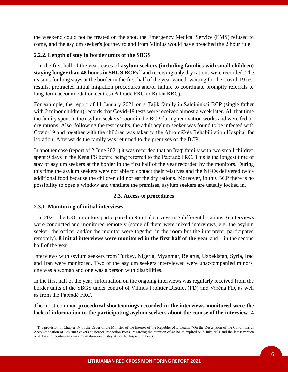the weekend could not be treated on the spot, the Emergency Medical Service (EMS) refused to come, and the asylum seeker's journey to and from Vilnius would have breached the 2 hour rule.

# **2.2.2. Length of stay in border units of the SBGS**

 In the first half of the year, cases of **asylum seekers (including families with small children) staying longer than 48 hours in SBGS BCPs**<sup>22</sup> and receiving only dry rations were recorded. The reasons for long stays at the border in the first half of the year varied: waiting for the Covid-19 test results, protracted initial migration procedures and/or failure to coordinate promptly referrals to long-term accommodation centres (Pabradė FRC or Rukla RRC).

For example, the report of 11 January 2021 on a Tajik family in Šalčininkai BCP (single father with 2 minor children) records that Covid-19 tests were received almost a week later. All that time the family spent in the asylum seekers' room in the BCP during renovation works and were fed on dry rations. Also, following the test results, the adult asylum seeker was found to be infected with Covid-19 and together with the children was taken to the Abromiškės Rehabilitation Hospital for isolation. Afterwards the family was returned to the premises of the BCP.

In another case (report of 2 June 2021) it was recorded that an Iraqi family with two small children spent 9 days in the Kena FS before being referred to the Pabradė FRC. This is the longest time of stay of asylum seekers at the border in the first half of the year recorded by the monitors. During this time the asylum seekers were not able to contact their relatives and the NGOs delivered twice additional food because the children did not eat the dry rations. Moreover, in this BCP there is no possibility to open a window and ventilate the premises, asylum seekers are usually locked in.

# **2.3. Access to procedures**

# **2.3.1. Monitoring of initial interviews**

 In 2021, the LRC monitors participated in 9 initial surveys in 7 different locations. 6 interviews were conducted and monitored remotely (some of them were mixed interviews, e.g. the asylum seeker, the officer and/or the monitor were together in the room but the interpreter participated remotely). **8 initial interviews were monitored in the first half of the year** and 1 in the second half of the year.

Interviews with asylum seekers from Turkey, Nigeria, Myanmar, Belarus, Uzbekistan, Syria, Iraq and Iran were monitored. Two of the asylum seekers interviewed were unaccompanied minors, one was a woman and one was a person with disabilities.

In the first half of the year, information on the ongoing interviews was regularly received from the border units of the SBGS under control of Vilnius Frontier District (FD) and Varėna FD, as well as from the Pabradė FRC.

The most common **procedural shortcomings recorded in the interviews monitored were the lack of information to the participating asylum seekers about the course of the interview** (4

<sup>&</sup>lt;sup>22</sup> The provision in Chapter IV of the Order of the Minister of the Interior of the Republic of Lithuania "On the Description of the Conditions of Accommodation of Asylum Seekers at Border Inspection Posts" regarding the duration of 48 hours expired on 8 July 2021 and the latest version of it does not contain any maximum duration of stay at Border Inspection Posts.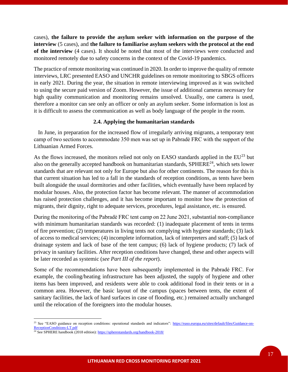cases), **the failure to provide the asylum seeker with information on the purpose of the interview** (5 cases), and **the failure to familiarise asylum seekers with the protocol at the end of the interview** (4 cases). It should be noted that most of the interviews were conducted and monitored remotely due to safety concerns in the context of the Covid-19 pandemics.

The practice of remote monitoring was continued in 2020. In order to improve the quality of remote interviews, LRC presented EASO and UNCHR guidelines on remote monitoring to SBGS officers in early 2021. During the year, the situation in remote interviewing improved as it was switched to using the secure paid version of Zoom. However, the issue of additional cameras necessary for high quality communication and monitoring remains unsolved. Usually, one camera is used, therefore a monitor can see only an officer or only an asylum seeker. Some information is lost as it is difficult to assess the communication as well as body language of the people in the room.

# **2.4. Applying the humanitarian standards**

 In June, in preparation for the increased flow of irregularly arriving migrants, a temporary tent camp of two sections to accommodate 350 men was set up in Pabradė FRC with the support of the Lithuanian Armed Forces.

As the flows increased, the monitors relied not only on EASO standards applied in the  $EU^{23}$  but also on the generally accepted handbook on humanitarian standards,  $SPHERE<sup>24</sup>$ , which sets lower standards that are relevant not only for Europe but also for other continents. The reason for this is that current situation has led to a fall in the standards of reception conditions, as tents have been built alongside the usual dormitories and other facilities, which eventually have been replaced by modular houses. Also, the protection factor has become relevant. The manner of accommodation has raised protection challenges, and it has become important to monitor how the protection of migrants, their dignity, right to adequate services, procedures, legal assistance, etc. is ensured.

During the monitoring of the Pabradė FRC tent camp on 22 June 2021, substantial non-compliance with minimum humanitarian standards was recorded: (1) inadequate placement of tents in terms of fire prevention; (2) temperatures in living tents not complying with hygiene standards; (3) lack of access to medical services; (4) incomplete information, lack of interpreters and staff; (5) lack of drainage system and lack of base of the tent campus; (6) lack of hygiene products; (7) lack of privacy in sanitary facilities. After reception conditions have changed, these and other aspects will be later recorded as systemic (*see Part III of the report*).

Some of the recommendations have been subsequently implemented in the Pabradė FRC. For example, the cooling/heating infrastructure has been adjusted, the supply of hygiene and other items has been improved, and residents were able to cook additional food in their tents or in a common area. However, the basic layout of the campus (spaces between tents, the extent of sanitary facilities, the lack of hard surfaces in case of flooding, etc.) remained actually unchanged until the relocation of the foreigners into the modular houses.

<sup>&</sup>lt;sup>23</sup> See "EASO guidance on reception conditions: operational standards and indicators": [https://easo.europa.eu/sites/default/files/Guidance-on-](https://easo.europa.eu/sites/default/files/Guidance-on-ReceptionConditions-LT.pdf)[ReceptionConditions-LT.pdf](https://easo.europa.eu/sites/default/files/Guidance-on-ReceptionConditions-LT.pdf)

<sup>&</sup>lt;sup>24</sup> See SPHERE handbook (2018 edition)[: https://spherestandards.org/handbook-2018/](https://spherestandards.org/handbook-2018/)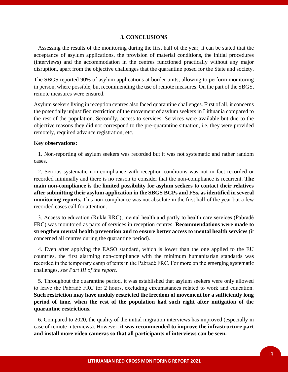#### **3. CONCLUSIONS**

 Assessing the results of the monitoring during the first half of the year, it can be stated that the acceptance of asylum applications, the provision of material conditions, the initial procedures (interviews) and the accommodation in the centres functioned practically without any major disruption, apart from the objective challenges that the quarantine posed for the State and society.

The SBGS reported 90% of asylum applications at border units, allowing to perform monitoring in person, where possible, but recommending the use of remote measures. On the part of the SBGS, remote measures were ensured.

Asylum seekers living in reception centres also faced quarantine challenges. First of all, it concerns the potentially unjustified restriction of the movement of asylum seekers in Lithuania compared to the rest of the population. Secondly, access to services. Services were available but due to the objective reasons they did not correspond to the pre-quarantine situation, i.e. they were provided remotely, required advance registration, etc.

#### **Key observations:**

 1. Non-reporting of asylum seekers was recorded but it was not systematic and rather random cases.

 2. Serious systematic non-compliance with reception conditions was not in fact recorded or recorded minimally and there is no reason to consider that the non-compliance is recurrent. **The main non-compliance is the limited possibility for asylum seekers to contact their relatives after submitting their asylum application in the SBGS BCPs and FSs, as identified in several monitoring reports.** This non-compliance was not absolute in the first half of the year but a few recorded cases call for attention.

 3. Access to education (Rukla RRC), mental health and partly to health care services (Pabradė FRC) was monitored as parts of services in reception centres. **Recommendations were made to strengthen mental health prevention and to ensure better access to mental health services** (it concerned all centres during the quarantine period).

 4. Even after applying the EASO standard, which is lower than the one applied to the EU countries, the first alarming non-compliance with the minimum humanitarian standards was recorded in the temporary camp of tents in the Pabradė FRC. For more on the emerging systematic challenges, *see Part III of the report.* 

 5. Throughout the quarantine period, it was established that asylum seekers were only allowed to leave the Pabradė FRC for 2 hours, excluding circumstances related to work and education. **Such restriction may have unduly restricted the freedom of movement for a sufficiently long period of time, when the rest of the population had such right after mitigation of the quarantine restrictions.**

 6. Compared to 2020, the quality of the initial migration interviews has improved (especially in case of remote interviews). However, **it was recommended to improve the infrastructure part and install more video cameras so that all participants of interviews can be seen.**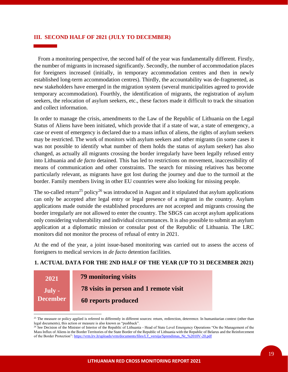# **III. SECOND HALF OF 2021 (JULY TO DECEMBER)**

 From a monitoring perspective, the second half of the year was fundamentally different. Firstly, the number of migrants in increased significantly. Secondly, the number of accommodation places for foreigners increased (initially, in temporary accommodation centres and then in newly established long-term accommodation centres). Thirdly, the accountability was de-fragmented, as new stakeholders have emerged in the migration system (several municipalities agreed to provide temporary accommodation). Fourthly, the identification of migrants, the registration of asylum seekers, the relocation of asylum seekers, etc., these factors made it difficult to track the situation and collect information.

In order to manage the crisis, amendments to the Law of the Republic of Lithuania on the Legal Status of Aliens have been initiated, which provide that if a state of war, a state of emergency, a case or event of emergency is declared due to a mass influx of aliens, the rights of asylum seekers may be restricted. The work of monitors with asylum seekers and other migrants (in some cases it was not possible to identify what number of them holds the status of asylum seeker) has also changed, as actually all migrants crossing the border irregularly have been legally refused entry into Lithuania and *de facto* detained. This has led to restrictions on movement, inaccessibility of means of communication and other constraints. The search for missing relatives has become particularly relevant, as migrants have got lost during the journey and due to the turmoil at the border. Family members living in other EU countries were also looking for missing people.

The so-called return<sup>25</sup> policy<sup>26</sup> was introduced in August and it stipulated that asylum applications can only be accepted after legal entry or legal presence of a migrant in the country. Asylum applications made outside the established procedures are not accepted and migrants crossing the border irregularly are not allowed to enter the country. The SBGS can accept asylum applications only considering vulnerability and individual circumstances. It is also possible to submit an asylum application at a diplomatic mission or consular post of the Republic of Lithuania. The LRC monitors did not monitor the process of refusal of entry in 2021.

At the end of the year, a joint issue-based monitoring was carried out to assess the access of foreigners to medical services in *de facto* detention facilities.

# **1. ACTUAL DATA FOR THE 2ND HALF OF THE YEAR (UP TO 31 DECEMBER 2021)**

| 2021            | 79 monitoring visits                   |
|-----------------|----------------------------------------|
| July -          | 78 visits in person and 1 remote visit |
| <b>December</b> | 60 reports produced                    |
|                 |                                        |

<sup>&</sup>lt;sup>25</sup> The measure or policy applied is referred to differently in different sources: return, redirection, deterrence. In humanitarian context (other than legal documents), this action or measure is also known as "pushback".

<sup>&</sup>lt;sup>26</sup> See Decision of the Minister of Interior of the Republic of Lithuania - Head of State Level Emergency Operations "On the Management of the Mass Influx of Aliens in the Border Territories of the State Border of the Republic of Lithuania with the Republic of Belarus and the Reinforcement of the Border Protection"[: https://vrm.lrv.lt/uploads/vrm/documents/files/LT\\_versija/Sprendimas\\_Nr\\_%2010V-20.pdf](https://vrm.lrv.lt/uploads/vrm/documents/files/LT_versija/Sprendimas_Nr_%2010V-20.pdf)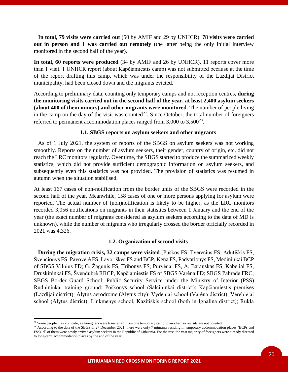**In total, 79 visits were carried out** (50 by AMIF and 29 by UNHCR). **78 visits were carried out in person and 1 was carried out remotely** (the latter being the only initial interview monitored in the second half of the year).

**In total, 60 reports were produced** (34 by AMIF and 26 by UNHCR). 11 reports cover more than 1 visit. 1 UNHCR report (about Kapčiamiestis camp) was not submitted because at the time of the report drafting this camp, which was under the responsibility of the Lazdijai District municipality, had been closed down and the migrants evicted.

According to preliminary data, counting only temporary camps and not reception centres, **during the monitoring visits carried out in the second half of the year, at least 2,400 asylum seekers (about 400 of them minors) and other migrants were monitored.** The number of people living in the camp on the day of the visit was counted<sup>27</sup>. Since October, the total number of foreigners referred to permanent accommodation places ranged from  $3,000$  to  $3,500^{28}$ .

# **1.1. SBGS reports on asylum seekers and other migrants**

 As of 1 July 2021, the system of reports of the SBGS on asylum seekers was not working smoothly. Reports on the number of asylum seekers, their gender, country of origin, etc. did not reach the LRC monitors regularly. Over time, the SBGS started to produce the summarized weekly statistics, which did not provide sufficient demographic information on asylum seekers, and subsequently even this statistics was not provided. The provision of statistics was resumed in autumn when the situation stabilised.

At least 167 cases of non-notification from the border units of the SBGS were recorded in the second half of the year. Meanwhile, 158 cases of one or more persons applying for asylum were reported. The actual number of (non)notification is likely to be higher, as the LRC monitors recorded 3,056 notifications on migrants in their statistics between 1 January and the end of the year (the exact number of migrants considered as asylum seekers according to the data of MD is unknown), while the number of migrants who irregularly crossed the border officially recorded in 2021 was 4,326.

# **1.2. Organization of second visits**

 **During the migration crisis, 32 camps were visited** (Pūškos FS, Tverečius FS, Adutiškis FS, Švenčionys FS, Pavoverė FS, Lavoriškės FS and BCP, Kena FS, Padvarionys FS, Medininkai BCP of SBGS Vilnius FD; G. Žagunis FS, Tribonys FS, Purvėnai FS, A. Barauskas FS, Kabeliai FS, Druskininkai FS, Švendubrė RBCP, Kapčiamiestis FS of SBGS Varėna FD; SBGS Pabradė FRC; SBGS Border Guard School; Public Security Service under the Ministry of Interior (PSS) Rūdnininkai training ground; Poškonys school (Šalčininkai district); Kapčiamiestis premises (Lazdijai district); Alytus aerodrome (Alytus city); Vydeniai school (Varėna district); Verebiejai school (Alytus district); Linkmenys school, Kazitiškis school (both in Ignalina district); Rukla

<sup>&</sup>lt;sup>27</sup> Some people may coincide, as foreigners were transferred from one temporary camp to another, so revisits are not counted.

<sup>&</sup>lt;sup>28</sup> According to the data of the SBGS of 27 December 2021, there were only 7 migrants residing in temporary accommodation places (BCPs and FSs), all of them were newly arrived asylum seekers in the Republic of Lithuania. For the rest, the vast majority of foreigners were already directed to long-term accommodation places by the end of the year.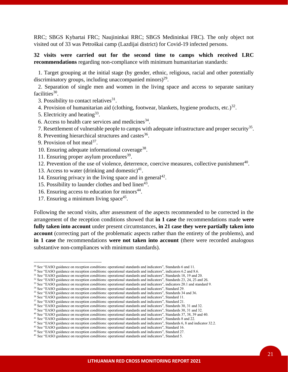RRC; SBGS Kybartai FRC; Naujininkai RRC; SBGS Medininkai FRC). The only object not visited out of 33 was Petroškai camp (Lazdijai district) for Covid-19 infected persons.

# **32 visits were carried out for the second time to camps which received LRC recommendations** regarding non-compliance with minimum humanitarian standards:

 1. Target grouping at the initial stage (by gender, ethnic, religious, racial and other potentially discriminatory groups, including unaccompanied minors) $^{29}$ .

 2. Separation of single men and women in the living space and access to separate sanitary facilities<sup>30</sup>.

- 3. Possibility to contact relatives $31$ .
- 4. Provision of humanitarian aid (clothing, footwear, blankets, hygiene products, etc.) $32$ .
- 5. Electricity and heating<sup>33</sup>.
- 6. Access to health care services and medicines  $34$ .
- 7. Resettlement of vulnerable people to camps with adequate infrastructure and proper security<sup>35</sup>.
- 8. Preventing hierarchical structures and castes<sup>36</sup>.
- 9. Provision of hot meal<sup>37</sup>.
- 10. Ensuring adequate informational coverage<sup>38</sup>.
- 11. Ensuring proper asylum procedures<sup>39</sup>.
- 12. Prevention of the use of violence, deterrence, coercive measures, collective punishment<sup>40</sup>.
- 13. Access to water (drinking and domestic) $41$ .
- 14. Ensuring privacy in the living space and in general<sup>42</sup>.
- 15. Possibility to launder clothes and bed linen $43$ .
- 16. Ensuring access to education for minors<sup>44</sup>.
- 17. Ensuring a minimum living space<sup>45</sup>.

Following the second visits, after assessment of the aspects recommended to be corrected in the arrangement of the reception conditions showed that **in 1 case** the recommendations made **were fully taken into account** under present circumstances, **in 21 case they were partially taken into account** (correcting part of the problematic aspects rather than the entirety of the problems), and **in 1 case** the recommendations **were not taken into account** (there were recorded analogous substantive non-compliances with minimum standards).

<sup>&</sup>lt;sup>29</sup> See "EASO guidance on reception conditions: operational standards and indicators", Standards 6 and 11.

<sup>&</sup>lt;sup>30</sup> See "EASO guidance on reception conditions: operational standards and indicators", indicators 6.2 and 8.6.

<sup>&</sup>lt;sup>31</sup> See "EASO guidance on reception conditions: operational standards and indicators", Standards 18, 19 and 20.

 $32$  See "EASO guidance on reception conditions: operational standards and indicators", Standards 23, 24, 25 and 26.

<sup>&</sup>lt;sup>33</sup> See "EASO guidance on reception conditions: operational standards and indicators", indicators 20.1 and standard 9.

<sup>&</sup>lt;sup>34</sup> See "EASO guidance on reception conditions: operational standards and indicators", Standard 29. <sup>35</sup> See "EASO guidance on reception conditions: operational standards and indicators", Standards 34 and 36.

<sup>&</sup>lt;sup>36</sup> See "EASO guidance on reception conditions: operational standards and indicators", Standard 11.

<sup>&</sup>lt;sup>37</sup> See "EASO guidance on reception conditions: operational standards and indicators", Standard 21.

<sup>&</sup>lt;sup>38</sup> See "EASO guidance on reception conditions: operational standards and indicators", Standards 30, 31 and 32.

<sup>&</sup>lt;sup>39</sup> See "EASO guidance on reception conditions: operational standards and indicators", Standards 30, 31 and 32.

<sup>&</sup>lt;sup>40</sup> See "EASO guidance on reception conditions: operational standards and indicators", Standards 37, 38, 39 and 40.

<sup>&</sup>lt;sup>41</sup> See "EASO guidance on reception conditions: operational standards and indicators", Standards 8 and 22.

<sup>&</sup>lt;sup>42</sup> See "EASO guidance on reception conditions: operational standards and indicators", Standards 6, 8 and indicator 32.2.

<sup>&</sup>lt;sup>43</sup> See "EASO guidance on reception conditions: operational standards and indicators", Standard 16.

<sup>44</sup> See "EASO guidance on reception conditions: operational standards and indicators", Standard 27.

<sup>&</sup>lt;sup>45</sup> See "EASO guidance on reception conditions: operational standards and indicators", Standard 5.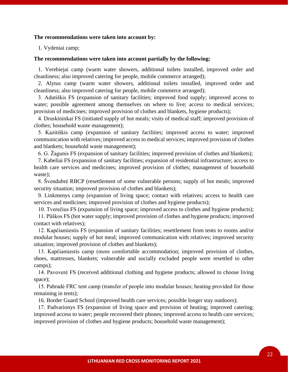# **The recommendations were taken into account by:**

1. Vydeniai camp;

#### **The recommendations were taken into account partially by the following:**

 1. Verebiejai camp (warm water showers, additional toilets installed, improved order and cleanliness; also improved catering for people, mobile commerce arranged);

 2. Alytus camp (warm water showers, additional toilets installed, improved order and cleanliness; also improved catering for people, mobile commerce arranged);

 3. Adutiškis FS (expansion of sanitary facilities; improved food supply; improved access to water; possible agreement among themselves on where to live; access to medical services; provision of medicines; improved provision of clothes and blankets, hygiene products);

 4. Druskininkai FS (initiated supply of hot meals; visits of medical staff; improved provision of clothes; household waste management);

 5. Kazitiškis camp (expansion of sanitary facilities; improved access to water; improved communication with relatives; improved access to medical services; improved provision of clothes and blankets; household waste management);

6. G. Žagunis FS (expansion of sanitary facilities; improved provision of clothes and blankets);

 7. Kabeliai FS (expansion of sanitary facilities; expansion of residential infrastructure; access to health care services and medicines; improved provision of clothes; management of household waste);

 8. Švendubrė RBCP (resettlement of some vulnerable persons; supply of hot meals; improved security situation; improved provision of clothes and blankets);

 9. Linkmenys camp (expansion of living space; contact with relatives; access to health care services and medicines; improved provision of clothes and hygiene products);

10. Tverečius FS (expansion of living space; improved access to clothes and hygiene products);

 11. Pūškos FS (hot water supply; improved provision of clothes and hygiene products; improved contact with relatives);

 12. Kapčiamiestis FS (expansion of sanitary facilities; resettlement from tents to rooms and/or modular houses; supply of hot meal; improved communication with relatives; improved security situation; improved provision of clothes and blankets);

 13. Kapčiamiestis camp (more comfortable accommodation; improved provision of clothes, shoes, mattresses, blankets; vulnerable and socially excluded people were resettled to other camps);

 14. Pavoverė FS (received additional clothing and hygiene products; allowed to choose living space);

 15. Pabradė FRC tent camp (transfer of people into modular houses; heating provided for those remaining in tents);

16. Border Guard School (improved health care services; possible longer stay outdoors);

 17. Padvarionys FS (expansion of living space and provision of heating; improved catering; improved access to water; people recovered their phones; improved access to health care services; improved provision of clothes and hygiene products; household waste management);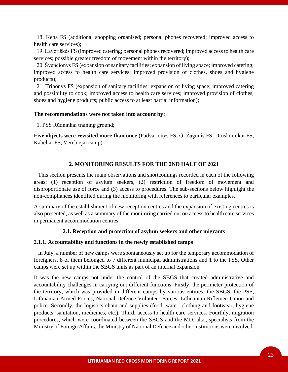18. Kena FS (additional shopping organised; personal phones recovered; improved access to health care services);

 19. Lavoriškės FS (improved catering; personal phones recovered; improved access to health care services; possible greater freedom of movement within the territory);

 20. Švenčionys FS (expansion of sanitary facilities; expansion of living space; improved catering; improved access to health care services; improved provision of clothes, shoes and hygiene products);

 21. Tribonys FS (expansion of sanitary facilities; expansion of living space; improved catering and possibility to cook; improved access to health care services; improved provision of clothes, shoes and hygiene products; public access to at least partial information);

#### **The recommendations were not taken into account by:**

1. PSS Rūdninkai training ground;

**Five objects were revisited more than once** (Padvarionys FS, G. Žagunis FS, Druskininkai FS, Kabeliai FS, Verebiejai camp).

# **2. MONITORING RESULTS FOR THE 2ND HALF OF 2021**

 This section presents the main observations and shortcomings recorded in each of the following areas: (1) reception of asylum seekers, (2) restriction of freedom of movement and disproportionate use of force and (3) access to procedures. The sub-sections below highlight the non-compliances identified during the monitoring with references to particular examples.

A summary of the establishment of new reception centres and the expansion of existing centres is also presented, as well as a summary of the monitoring carried out on access to health care services in permanent accommodation centres.

#### **2.1. Reception and protection of asylum seekers and other migrants**

#### **2.1.1. Accountability and functions in the newly established camps**

 In July, a number of new camps were spontaneously set up for the temporary accommodation of foreigners. 8 of them belonged to 7 different municipal administrations and 1 to the PSS. Other camps were set up within the SBGS units as part of an internal expansion.

It was the new camps not under the control of the SBGS that created administrative and accountability challenges in carrying out different functions. Firstly, the perimeter protection of the territory, which was provided in different camps by various entities: the SBGS, the PSS, Lithuanian Armed Forces, National Defence Volunteer Forces, Lithuanian Riflemen Union and police. Secondly, the logistics chain and supplies (food, water, clothing and footwear, hygiene products, sanitation, medicines, etc.). Third, access to health care services. Fourthly, migration procedures, which were coordinated between the SBGS and the MD; also, specialists from the Ministry of Foreign Affairs, the Ministry of National Defence and other institutions were involved.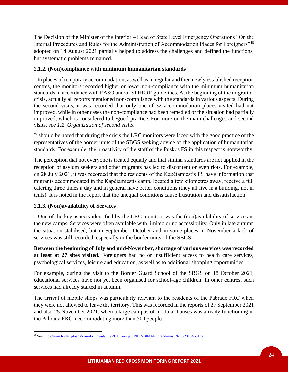The Decision of the Minister of the Interior – Head of State Level Emergency Operations "On the Internal Procedures and Rules for the Administration of Accommodation Places for Foreigners"<sup>46</sup> adopted on 14 August 2021 partially helped to address the challenges and defined the functions, but systematic problems remained.

# **2.1.2. (Non)compliance with minimum humanitarian standards**

 In places of temporary accommodation, as well as in regular and then newly established reception centres, the monitors recorded higher or lower non-compliance with the minimum humanitarian standards in accordance with EASO and/or SPHERE guidelines. At the beginning of the migration crisis, actually all reports mentioned non-compliance with the standards in various aspects. During the second visits, it was recorded that only one of 32 accommodation places visited had not improved, while in other cases the non-compliance had been remedied or the situation had partially improved, which is considered to begood practice. For more on the main challenges and second visits, *see 1.2*. *Organization of second visits*.

It should be noted that during the crisis the LRC monitors were faced with the good practice of the representatives of the border units of the SBGS seeking advice on the application of humanitarian standards. For example, the proactivity of the staff of the Pūškos FS in this respect is noteworthy.

The perception that not everyone is treated equally and that similar standards are not applied in the reception of asylum seekers and other migrants has led to discontent or even riots. For example, on 28 July 2021, it was recorded that the residents of the Kapčiamiestis FS have information that migrants accommodated in the Kapčiamiestis camp, located a few kilometres away, receive a full catering three times a day and in general have better conditions (they all live in a building, not in tents). It is noted in the report that the unequal conditions cause frustration and dissatisfaction.

# **2.1.3. (Non)availability of Services**

 One of the key aspects identified by the LRC monitors was the (non)availability of services in the new camps. Services were often available with limited or no accessibility. Only in late autumn the situation stabilised, but in September, October and in some places in November a lack of services was still recorded, especially in the border units of the SBGS.

**Between the beginning of July and mid-November, shortage of various services was recorded at least at 27 sites visited.** Foreigners had no or insufficient access to health care services, psychological services, leisure and education, as well as to additional shopping opportunities.

For example, during the visit to the Border Guard School of the SBGS on 18 October 2021, educational services have not yet been organised for school-age children. In other centres, such services had already started in autumn.

The arrival of mobile shops was particularly relevant to the residents of the Pabradė FRC when they were not allowed to leave the territory. This was recorded in the reports of 27 September 2021 and also 25 November 2021, when a large campus of modular houses was already functioning in the Pabradė FRC, accommodating more than 500 people.

<sup>46</sup> Se[e https://vrm.lrv.lt/uploads/vrm/documents/files/LT\\_versija/SPRENDIMAI/Sprendimas\\_Nr\\_%2010V-31.pdf](https://vrm.lrv.lt/uploads/vrm/documents/files/LT_versija/SPRENDIMAI/Sprendimas_Nr_%2010V-31.pdf)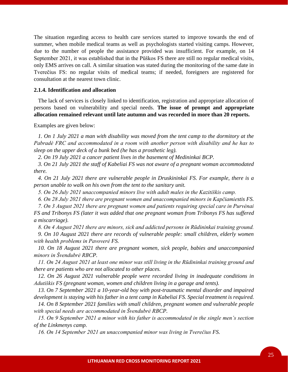The situation regarding access to health care services started to improve towards the end of summer, when mobile medical teams as well as psychologists started visiting camps. However, due to the number of people the assistance provided was insufficient. For example, on 14 September 2021, it was established that in the Pūškos FS there are still no regular medical visits, only EMS arrives on call. A similar situation was stated during the monitoring of the same date in Tverečius FS: no regular visits of medical teams; if needed, foreigners are registered for consultation at the nearest town clinic.

#### **2.1.4. Identification and allocation**

 The lack of services is closely linked to identification, registration and appropriate allocation of persons based on vulnerability and special needs. **The issue of prompt and appropriate allocation remained relevant until late autumn and was recorded in more than 20 reports.**

Examples are given below:

 *1. On 1 July 2021 a man with disability was moved from the tent camp to the dormitory at the Pabradė FRC and accommodated in a room with another person with disability and he has to sleep on the upper deck of a bunk bed (he has a prosthetic leg).*

 *2. On 19 July 2021 a cancer patient lives in the basement of Medininkai BCP.*

 *3. On 21 July 2021 the staff of Kabeliai FS was not aware of a pregnant woman accommodated there.* 

 *4. On 21 July 2021 there are vulnerable people in Druskininkai FS. For example, there is a person unable to walk on his own from the tent to the sanitary unit.*

 *5. On 26 July 2021 unaccompanied minors live with adult males in the Kazitiškis camp.*

 *6. On 28 July 2021 there are pregnant women and unaccompanied minors in Kapčiamiestis FS.*

 *7. On 3 August 2021 there are pregnant women and patients requiring special care in Purvėnai FS and Tribonys FS (later it was added that one pregnant woman from Tribonys FS has suffered a miscarriage).*

 *8. On 4 August 2021 there are minors, sick and addicted persons in Rūdininkai training ground.*

 *9. On 10 August 2021 there are records of vulnerable people: small children, elderly women with health problems in Pavoverė FS.* 

 *10. On 18 August 2021 there are pregnant women, sick people, babies and unaccompanied minors in Švendubrė RBCP.*

 *11. On 24 August 2021 at least one minor was still living in the Rūdininkai training ground and there are patients who are not allocated to other places.*

 *12. On 26 August 2021 vulnerable people were recorded living in inadequate conditions in Adutiškis FS (pregnant woman, women and children living in a garage and tents).*

 *13. On 7 September 2021 a 10-year-old boy with post-traumatic mental disorder and impaired development is staying with his father in a tent camp in Kabeliai FS. Special treatment is required.*

 *14. On 8 September 2021 families with small children, pregnant women and vulnerable people with special needs are accommodated in Švendubrė RBCP.* 

 *15. On 9 September 2021 a minor with his father is accommodated in the single men's section of the Linkmenys camp.*

 *16. On 14 September 2021 an unaccompanied minor was living in Tverečius FS.*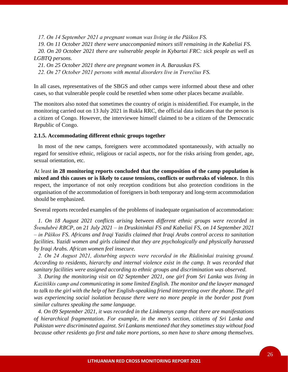*17. On 14 September 2021 a pregnant woman was living in the Pūškos FS.*

 *19. On 11 October 2021 there were unaccompanied minors still remaining in the Kabeliai FS.*

 *20. On 20 October 2021 there are vulnerable people in Kybartai FRC: sick people as well as LGBTQ persons.*

 *21. On 25 October 2021 there are pregnant women in A. Barauskas FS.*

 *22. On 27 October 2021 persons with mental disorders live in Tverečius FS.*

In all cases, representatives of the SBGS and other camps were informed about these and other cases, so that vulnerable people could be resettled when some other places became available.

The monitors also noted that sometimes the country of origin is misidentified. For example, in the monitoring carried out on 13 July 2021 in Rukla RRC, the official data indicates that the person is a citizen of Congo. However, the interviewee himself claimed to be a citizen of the Democratic Republic of Congo.

# **2.1.5. Accommodating different ethnic groups together**

 In most of the new camps, foreigners were accommodated spontaneously, with actually no regard for sensitive ethnic, religious or racial aspects, nor for the risks arising from gender, age, sexual orientation, etc.

At least **in 28 monitoring reports concluded that the composition of the camp population is mixed and this causes or is likely to cause tensions, conflicts or outbreaks of violence.** In this respect, the importance of not only reception conditions but also protection conditions in the organisation of the accommodation of foreigners in both temporary and long-term accommodation should be emphasized.

Several reports recorded examples of the problems of inadequate organisation of accommodation:

 *1. On 18 August 2021 conflicts arising between different ethnic groups were recorded in Švendubrė RBCP, on 21 July 2021 – in Druskininkai FS and Kabeliai FS, on 14 September 2021 – in Pūškos FS. Africans and Iraqi Yazidis claimed that Iraqi Arabs control access to sanitation facilities. Yazidi women and girls claimed that they are psychologically and physically harassed by Iraqi Arabs. African women feel insecure.*

 *2. On 24 August 2021, disturbing aspects were recorded in the Rūdininkai training ground. According to residents, hierarchy and internal violence exist in the camp. It was recorded that sanitary facilities were assigned according to ethnic groups and discrimination was observed.* 

 *3. During the monitoring visit on 02 September 2021, one girl from Sri Lanka was living in Kazitiškis camp and communicating in some limited English. The monitor and the lawyer managed to talk to the girl with the help of her English-speaking friend interpreting over the phone. The girl was experiencing social isolation because there were no more people in the border post from similar cultures speaking the same language.*

 *4. On 09 September 2021, it was recorded in the Linkmenys camp that there are manifestations of hierarchical fragmentation. For example, in the men's section, citizens of Sri Lanka and Pakistan were discriminated against. Sri Lankans mentioned that they sometimes stay without food because other residents go first and take more portions, so men have to share among themselves.*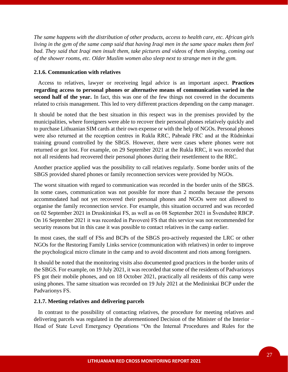*The same happens with the distribution of other products, access to health care, etc. African girls living in the gym of the same camp said that having Iraqi men in the same space makes them feel bad. They said that Iraqi men insult them, take pictures and videos of them sleeping, coming out of the shower rooms, etc. Older Muslim women also sleep next to strange men in the gym.*

# **2.1.6. Communication with relatives**

 Access to relatives, lawyer or receiveing legal advice is an important aspect. **Practices regarding access to personal phones or alternative means of communication varied in the second half of the year.** In fact, this was one of the few things not covered in the documents related to crisis management. This led to very different practices depending on the camp manager.

It should be noted that the best situation in this respect was in the premises provided by the municipalities, where foreigners were able to recover their personal phones relatively quickly and to purchase Lithuanian SIM cards at their own expense or with the help of NGOs. Personal phones were also returned at the reception centres in Rukla RRC, Pabradė FRC and at the Rūdninkai training ground controlled by the SBGS. However, there were cases where phones were not returned or got lost. For example, on 29 September 2021 at the Rukla RRC, it was recorded that not all residents had recovered their personal phones during their resettlement to the RRC.

Another practice applied was the possibility to call relatives regularly. Some border units of the SBGS provided shared phones or family reconnection services were provided by NGOs.

The worst situation with regard to communication was recorded in the border units of the SBGS. In some cases, communication was not possible for more than 2 months because the persons accommodated had not yet recovered their personal phones and NGOs were not allowed to organise the family reconnection service. For example, this situation occurred and was recorded on 02 September 2021 in Druskininkai FS, as well as on 08 September 2021 in Švendubrė RBCP. On 16 September 2021 it was recorded in Pavoverė FS that this service was not recommended for security reasons but in this case it was possible to contact relatives in the camp earlier.

In most cases, the staff of FSs and BCPs of the SBGS pro-actively requested the LRC or other NGOs for the Restoring Family Links service (communication with relatives) in order to improve the psychological micro climate in the camp and to avoid discontent and riots among foreigners.

It should be noted that the monitoring visits also documented good practices in the border units of the SBGS. For example, on 19 July 2021, it was recorded that some of the residents of Padvarionys FS got their mobile phones, and on 18 October 2021, practically all residents of this camp were using phones. The same situation was recorded on 19 July 2021 at the Medininkai BCP under the Padvarionys FS.

#### **2.1.7. Meeting relatives and delivering parcels**

 In contrast to the possibility of contacting relatives, the procedure for meeting relatives and delivering parcels was regulated in the aforementioned Decision of the Minister of the Interior – Head of State Level Emergency Operations "On the Internal Procedures and Rules for the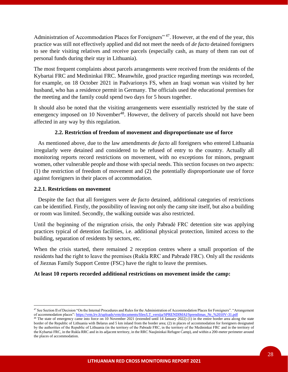Administration of Accommodation Places for Foreigners" <sup>47</sup>. However, at the end of the year, this practice was still not effectively applied and did not meet the needs of *de facto* detained foreigners to see their visiting relatives and receive parcels (especially cash, as many of them ran out of personal funds during their stay in Lithuania).

The most frequent complaints about parcels arrangements were received from the residents of the Kybartai FRC and Medininkai FRC. Meanwhile, good practice regarding meetings was recorded, for example, on 18 October 2021 in Padvarionys FS, when an Iraqi woman was visited by her husband, who has a residence permit in Germany. The officials used the educational premises for the meeting and the family could spend two days for 5 hours together.

It should also be noted that the visiting arrangements were essentially restricted by the state of emergency imposed on 10 November<sup>48</sup>. However, the delivery of parcels should not have been affected in any way by this regulation.

# **2.2. Restriction of freedom of movement and disproportionate use of force**

 As mentioned above, due to the law amendments *de facto* all foreigners who entered Lithuania irregularly were detained and considered to be refused of entry to the country. Actually all monitoring reports record restrictions on movement, with no exceptions for minors, pregnant women, other vulnerable people and those with special needs. This section focuses on two aspects: (1) the restriction of freedom of movement and (2) the potentially disproportionate use of force against foreigners in their places of accommodation.

# **2.2.1. Restrictions on movement**

 Despite the fact that all foreigners were *de facto* detained, additional categories of restrictions can be identified. Firstly, the possibility of leaving not only the camp site itself, but also a building or room was limited. Secondly, the walking outside was also restricted.

Until the beginning of the migration crisis, the only Pabradė FRC detention site was applying practices typical of detention facilities, i.e. additional physical protection, limited access to the building, separation of residents by sectors, etc.

When the crisis started, there remained 2 reception centres where a small proportion of the residents had the right to leave the premises (Rukla RRC and Pabradė FRC). Only all the residents of Jieznas Family Support Centre (FSC) have the right to leave the premises.

# **At least 10 reports recorded additional restrictions on movement inside the camp:**

<sup>&</sup>lt;sup>47</sup> See Section II of Decision "On the Internal Procedures and Rules for the Administration of Accommodation Places for Foreigners". "Arrangement" of accommodation places"[: https://vrm.lrv.lt/uploads/vrm/documents/files/LT\\_versija/SPRENDIMAI/Sprendimas\\_Nr\\_%2010V-31.pdf](https://vrm.lrv.lt/uploads/vrm/documents/files/LT_versija/SPRENDIMAI/Sprendimas_Nr_%2010V-31.pdf)

<sup>&</sup>lt;sup>48</sup> The state of emergency came into force on 10 November 2021 (extended until 14 January 2022) (1) in the entire border area along the state border of the Republic of Lithuania with Belarus and 5 km inland from the border area; (2) in places of accommodation for foreigners designated by the authorities of the Republic of Lithuania (in the territory of the Pabradė FRC, in the territory of the Medininkai FRC and in the territory of the Kybartai FRC, in the Rukla RRC and in its adjacent territory, in the RRC Naujininkai Refugee Camp), and within a 200-meter perimeter around the places of accommodation.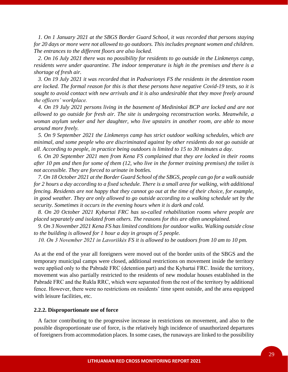*1. On 1 January 2021 at the SBGS Border Guard School, it was recorded that persons staying for 20 days or more were not allowed to go outdoors. This includes pregnant women and children. The entrances to the different floors are also locked.*

 *2. On 16 July 2021 there was no possibility for residents to go outside in the Linkmenys camp, residents were under quarantine. The indoor temperature is high in the premises and there is a shortage of fresh air.* 

 *3. On 19 July 2021 it was recorded that in Padvarionys FS the residents in the detention room are locked. The formal reason for this is that these persons have negative Covid-19 tests, so it is sought to avoid contact with new arrivals and it is also undesirable that they move freely around the officers' workplace.* 

 *4. On 19 July 2021 persons living in the basement of Medininkai BCP are locked and are not allowed to go outside for fresh air. The site is undergoing reconstruction works. Meanwhile, a woman asylum seeker and her daughter, who live upstairs in another room, are able to move around more freely.*

 *5. On 9 September 2021 the Linkmenys camp has strict outdoor walking schedules, which are minimal, and some people who are discriminated against by other residents do not go outside at all. According to people, in practice being outdoors is limited to 15 to 30 minutes a day.*

 *6. On 20 September 2021 men from Kena FS complained that they are locked in their rooms after 10 pm and then for some of them (12, who live in the former training premises) the toilet is not accessible. They are forced to urinate in bottles.*

 *7. On 18 October 2021 at the Border Guard School of the SBGS, people can go for a walk outside for 2 hours a day according to a fixed schedule. There is a small area for walking, with additional fencing. Residents are not happy that they cannot go out at the time of their choice, for example, in good weather. They are only allowed to go outside according to a walking schedule set by the security. Sometimes it occurs in the evening hours when it is dark and cold.*

 *8. On 20 October 2021 Kybartai FRC has so-called rehabilitation rooms where people are placed separately and isolated from others. The reasons for this are often unexplained.* 

 *9. On 3 November 2021 Kena FS has limited conditions for outdoor walks. Walking outside close to the building is allowed for 1 hour a day in groups of 5 people.*

 *10. On 3 November 2021 in Lavoriškės FS it is allowed to be outdoors from 10 am to 10 pm.* 

As at the end of the year all foreigners were moved out of the border units of the SBGS and the temporary municipal camps were closed, additional restrictions on movement inside the territory were applied only to the Pabradė FRC (detention part) and the Kybartai FRC. Inside the territory, movement was also partially restricted to the residents of new modular houses established in the Pabradė FRC and the Rukla RRC, which were separated from the rest of the territory by additional fence. However, there were no restrictions on residents' time spent outside, and the area equipped with leisure facilities, etc.

# **2.2.2. Disproportionate use of force**

 A factor contributing to the progressive increase in restrictions on movement, and also to the possible disproportionate use of force, is the relatively high incidence of unauthorized departures of foreigners from accommodation places. In some cases, the runaways are linked to the possibility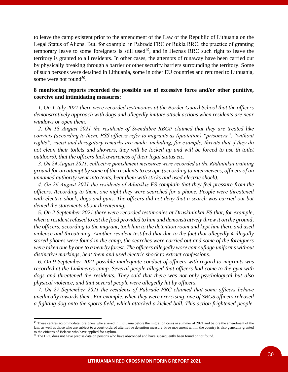to leave the camp existent prior to the amendment of the Law of the Republic of Lithuania on the Legal Status of Aliens. But, for example, in Pabradė FRC or Rukla RRC, the practice of granting temporary leave to some foreigners is still used<sup>49</sup>, and in Jieznas RRC such right to leave the territory is granted to all residents. In other cases, the attempts of runaway have been carried out by physically breaking through a barrier or other security barriers surrounding the territory. Some of such persons were detained in Lithuania, some in other EU countries and returned to Lithuania, some were not found<sup>50</sup>.

# **8 monitoring reports recorded the possible use of excessive force and/or other punitive, coercive and intimidating measures:**

 *1. On 1 July 2021 there were recorded testimonies at the Border Guard School that the officers demonstratively approach with dogs and allegedly imitate attack actions when residents are near windows or open them.* 

 *2. On 18 August 2021 the residents of Švendubrė RBCP claimed that they are treated like convicts (according to them, PSS officers refer to migrants as (quotation) "prisoners", "without rights", racist and derogatory remarks are made, including, for example, threats that if they do*  not clean their toilets and showers, they will be locked up and will be forced to use th toilet *outdoors), that the officers lack awareness of their legal status etc.* 

 *3. On 24 August 2021, collective punishment measures were recorded at the Rūdininkai training ground for an attempt by some of the residents to escape (according to interviewees, officers of an unnamed authority went into tents, beat them with sticks and used electric shock).*

 *4. On 26 August 2021 the residents of Adutiškis FS complain that they feel pressure from the officers. According to them, one night they were searched for a phone. People were threatened with electric shock, dogs and guns. The officers did not deny that a search was carried out but denied the statements about threatening.*

 *5. On 2 September 2021 there were recorded testimonies at Druskininkai FS that, for example, when a resident refused to eat the food provided to him and demonstratively threw it on the ground, the officers, according to the migrant, took him to the detention room and kept him there and used violence and threatening. Another resident testified that due to the fact that allegedly 4 illegally stored phones were found in the camp, the searches were carried out and some of the foreigners were taken one by one to a nearby forest. The officers allegedly wore camouflage uniforms without distinctive markings, beat them and used electric shock to extract confessions.*

 *6. On 9 September 2021 possible inadequate conduct of officers with regard to migrants was recorded at the Linkmenys camp. Several people alleged that officers had come to the gym with dogs and threatened the residents. They said that there was not only psychological but also physical violence, and that several people were allegedly hit by officers.* 

 *7. On 27 September 2021 the residents of Pabradė FRC claimed that some officers behave unethically towards them. For example, when they were exercising, one of SBGS officers released a fighting dog onto the sports field, which attacked a kicked ball. This action frightened people.* 

<sup>&</sup>lt;sup>49</sup> These centres accommodate foreigners who arrived in Lithuania before the migration crisis in summer of 2021 and before the amendment of the law, as well as those who are subject to a court-ordered alternative detention measure. Free movement within the country is also generally granted to the citizens of Belarus who have applied for asylum.

<sup>&</sup>lt;sup>50</sup> The LRC does not have precise data on persons who have absconded and have subsequently been found or not found.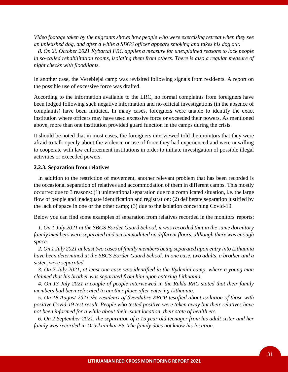*Video footage taken by the migrants shows how people who were exercising retreat when they see an unleashed dog, and after a while a SBGS officer appears smoking and takes his dog out.* 

 *8. On 20 October 2021 Kybartai FRC applies a measure for unexplained reasons to lock people in so-called rehabilitation rooms, isolating them from others. There is also a regular measure of night checks with floodlights.*

In another case, the Verebiejai camp was revisited following signals from residents. A report on the possible use of excessive force was drafted.

According to the information available to the LRC, no formal complaints from foreigners have been lodged following such negative information and no official investigations (in the absence of complaints) have been initiated. In many cases, foreigners were unable to identify the exact institution where officers may have used excessive force or exceeded their powers. As mentioned above, more than one institution provided guard function in the camps during the crisis.

It should be noted that in most cases, the foreigners interviewed told the monitors that they were afraid to talk openly about the violence or use of force they had experienced and were unwilling to cooperate with law enforcement institutions in order to initiate investigation of possible illegal activities or exceeded powers.

# **2.2.3. Separation from relatives**

 In addition to the restriction of movement, another relevant problem that has been recorded is the occasional separation of relatives and accommodation of them in different camps. This mostly occurred due to 3 reasons: (1) unintentional separation due to a complicated situation, i.e. the large flow of people and inadequate identification and registration; (2) deliberate separation justified by the lack of space in one or the other camp; (3) due to the isolation concerning Covid-19.

Below you can find some examples of separation from relatives recorded in the monitors' reports:

 *1. On 1 July 2021 at the SBGS Border Guard School, it was recorded that in the same dormitory family members were separated and accommodated on different floors, although there was enough space.* 

 *2. On 1 July 2021 at least two cases of family members being separated upon entry into Lithuania have been determined at the SBGS Border Guard School. In one case, two adults, a brother and a sister, were separated.*

 *3. On 7 July 2021, at least one case was identified in the Vydeniai camp, where a young man claimed that his brother was separated from him upon entering Lithuania.*

 *4. On 13 July 2021 a couple of people interviewed in the Rukla RRC stated that their family members had been relocated to another place after entering Lithuania.*

 *5. On 18 August 2021 the residents of Švendubrė RBCP testified about isolation of those with positive Covid-19 test result. People who tested positive were taken away but their relatives have not been informed for a while about their exact location, their state of health etc.* 

 *6. On 2 September 2021, the separation of a 15 year old teenager from his adult sister and her family was recorded in Druskininkai FS. The family does not know his location.*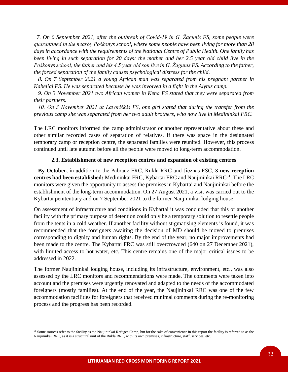*7. On 6 September 2021, after the outbreak of Covid-19 in G. Žagunis FS, some people were quarantined in the nearby Poškonys school, where some people have been living for more than 28 days in accordance with the requirements of the National Centre of Public Health. One family has been living in such separation for 20 days: the mother and her 2.5 year old child live in the Poškonys school, the father and his 4.5 year old son live in G. Žagunis FS. According to the father, the forced separation of the family causes psychological distress for the child.*

 *8. On 7 September 2021 a young African man was separated from his pregnant partner in Kabeliai FS. He was separated because he was involved in a fight in the Alytus camp.* 

 *9. On 3 November 2021 two African women in Kena FS stated that they were separated from their partners.*

 *10. On 3 November 2021 at Lavoriškės FS, one girl stated that during the transfer from the previous camp she was separated from her two adult brothers, who now live in Medininkai FRC.* 

The LRC monitors informed the camp administrator or another representative about these and other similar recorded cases of separation of relatives. If there was space in the designated temporary camp or reception centre, the separated families were reunited. However, this process continued until late autumn before all the people were moved to long-term accommodation.

#### **2.3. Establishment of new reception centres and expansion of existing centres**

 **By October,** in addition to the Pabradė FRC, Rukla RRC and Jieznas FSC, **3 new reception**  centres had been established: Medininkai FRC, Kybartai FRC and Naujininkai RRC<sup>51</sup>. The LRC monitors were given the opportunity to assess the premises in Kybartai and Naujininkai before the establishment of the long-term accommodation. On 27 August 2021, a visit was carried out to the Kybartai penitentiary and on 7 September 2021 to the former Naujininkai lodging house.

On assessment of infrastructure and conditions in Kybartai it was concluded that this or another facility with the primary purpose of detention could only be a temporary solution to resettle people from the tents in a cold weather. If another facility without stigmatising elements is found, it was recommended that the foreigners awaiting the decision of MD should be moved to premises corresponding to dignity and human rights. By the end of the year, no major improvements had been made to the centre. The Kybartai FRC was still overcrowded (640 on 27 December 2021), with limited access to hot water, etc. This centre remains one of the major critical issues to be addressed in 2022.

The former Naujininkai lodging house, including its infrastructure, environment, etc., was also assessed by the LRC monitors and recommendations were made. The comments were taken into account and the premises were urgently renovated and adapted to the needs of the accommodated foreigners (mostly families). At the end of the year, the Naujininkai RRC was one of the few accommodation facilities for foreigners that received minimal comments during the re-monitoring process and the progress has been recorded.

<sup>&</sup>lt;sup>51</sup> Some sources refer to the facility as the Naujininkai Refugee Camp, but for the sake of convenience in this report the facility is referred to as the Naujininkai RRC, as it is a structural unit of the Rukla RRC, with its own premises, infrastructure, staff, services, etc.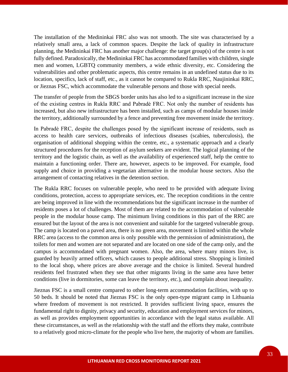The installation of the Medininkai FRC also was not smooth. The site was characterised by a relatively small area, a lack of common spaces. Despite the lack of quality in infrastructure planning, the Medininkai FRC has another major challenge: the target group(s) of the centre is not fully defined. Paradoxically, the Medininkai FRC has accommodated families with children, single men and women, LGBTQ community members, a wide ethnic diversity, etc. Considering the vulnerabilities and other problematic aspects, this centre remains in an undefined status due to its location, specifics, lack of staff, etc., as it cannot be compared to Rukla RRC, Naujininkai RRC, or Jieznas FSC, which accommodate the vulnerable persons and those with special needs.

The transfer of people from the SBGS border units has also led to a significant increase in the size of the existing centres in Rukla RRC and Pabradė FRC. Not only the number of residents has increased, but also new infrastructure has been installed, such as camps of modular houses inside the territory, additionally surrounded by a fence and preventing free movement inside the territory.

In Pabradė FRC, despite the challenges posed by the significant increase of residents, such as access to health care services, outbreaks of infectious diseases (scabies, tuberculosis), the organisation of additional shopping within the centre, etc., a systematic approach and a clearly structured procedures for the reception of asylum seekers are evident. The logical planning of the territory and the logistic chain, as well as the availability of experienced staff, help the centre to maintain a functioning order. There are, however, aspects to be improved. For example, food supply and choice in providing a vegetarian alternative in the modular house sectors. Also the arrangement of contacting relatives in the detention section.

The Rukla RRC focuses on vulnerable people, who need to be provided with adequate living conditions, protection, access to appropriate services, etc. The reception conditions in the centre are being improved in line with the recommendations but the significant increase in the number of residents poses a lot of challenges. Most of them are related to the accommodation of vulnerable people in the modular house camp. The minimum living conditions in this part of the RRC are ensured but the layout of the area is not convenient and suitable for the targeted vulnerable group. The camp is located on a paved area, there is no green area, movement is limited within the whole RRC area (access to the common area is only possible with the permission of administration), the toilets for men and women are not separated and are located on one side of the camp only, and the campus is accommodated with pregnant women. Also, the area, where many minors live, is guarded by heavily armed officers, which causes to people additional stress. Shopping is limited to the local shop, where prices are above average and the choice is limited. Several hundred residents feel frustrated when they see that other migrants living in the same area have better conditions (live in dormitories, some can leave the territory, etc.), and complain about inequality.

Jieznas FSC is a small centre compared to other long-term accommodation facilities, with up to 50 beds. It should be noted that Jieznas FSC is the only open-type migrant camp in Lithuania where freedom of movement is not restricted. It provides sufficient living space, ensures the fundamental right to dignity, privacy and security, education and employment services for minors, as well as provides employment opportunities in accordance with the legal status available. All these circumstances, as well as the relationship with the staff and the efforts they make, contribute to a relatively good micro-climate for the people who live here, the majority of whom are families.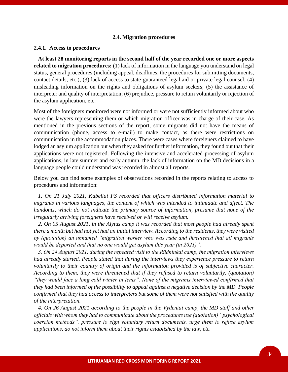# **2.4. Migration procedures**

#### **2.4.1. Access to procedures**

 **At least 28 monitoring reports in the second half of the year recorded one or more aspects related to migration procedures:** (1) lack of information in the language you understand on legal status, general procedures (including appeal, deadlines, the procedures for submitting documents, contact details, etc.); (3) lack of access to state-guaranteed legal aid or private legal counsel; (4) misleading information on the rights and obligations of asylum seekers; (5) the assistance of interpreter and quality of interpretation; (6) prejudice, pressure to return voluntarily or rejection of the asylum application, etc.

Most of the foreigners monitored were not informed or were not sufficiently informed about who were the lawyers representing them or which migration officer was in charge of their case. As mentioned in the previous sections of the report, some migrants did not have the means of communication (phone, access to e-mail) to make contact, as there were restrictions on communication in the accommodation places. There were cases where foreigners claimed to have lodged an asylum application but when they asked for further information, they found out that their applications were not registered. Following the intensive and accelerated processing of asylum applications, in late summer and early autumn, the lack of information on the MD decisions in a language people could understand was recorded in almost all reports.

Below you can find some examples of observations recorded in the reports relating to access to procedures and information:

 *1. On 21 July 2021, Kabeliai FS recorded that officers distributed information material to migrants in various languages, the content of which was intended to intimidate and affect. The handouts, which do not indicate the primary source of information, presume that none of the irregularly arriving foreigners have received or will receive asylum.* 

 *2. On 05 August 2021, in the Alytus camp it was recorded that most people had already spent there a month but had not yet had an initial interview. According to the residents, they were visited by (quotation) an unnamed "migration worker who was rude and threatened that all migrants would be deported and that no one would get asylum this year (in 2021)".* 

 *3. On 24 August 2021, during the repeated visit to the Rūdninkai camp, the migration interviews had already started. People stated that during the interviews they experience pressure to return voluntarily to their country of origin and the information provided is of subjective character. According to them, they were threatened that if they refused to return voluntarily, (quotation) "they would face a long cold winter in tents". None of the migrants interviewed confirmed that they had been informed of the possibility to appeal against a negative decision by the MD. People confirmed that they had access to interpreters but some of them were not satisfied with the quality of the interpretation.* 

 *4. On 26 August 2021 according to the people in the Vydeniai camp, the MD staff and other officials with whom they had to communicate about the procedures use (quotation) "psychological coercion methods", pressure to sign voluntary return documents, urge them to refuse asylum applications, do not inform them about their rights established by the law, etc.*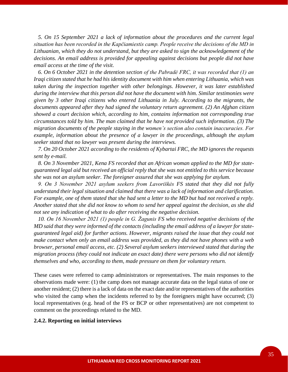*5. On 15 September 2021 a lack of information about the procedures and the current legal situation has been recorded in the Kapčiamiestis camp. People receive the decisions of the MD in Lithuanian, which they do not understand, but they are asked to sign the acknowledgement of the decisions. An email address is provided for appealing against decisions but people did not have email access at the time of the visit.*

 *6. On 6 October 2021 in the detention section of the Pabradė FRC, it was recorded that (1) an Iraqi citizen stated that he had his identity document with him when entering Lithuania, which was taken during the inspection together with other belongings. However, it was later established during the interview that this person did not have the document with him. Similar testimonies were given by 3 other Iraqi citizens who entered Lithuania in July. According to the migrants, the documents appeared after they had signed the voluntary return agreement. (2) An Afghan citizen showed a court decision which, according to him, contains information not corresponding true circumstances told by him. The man claimed that he have not provided such information. (3) The migration documents of the people staying in the women's section also contain inaccuracies. For example, information about the presence of a lawyer in the proceedings, although the asylum seeker stated that no lawyer was present during the interviews.*

 *7. On 20 October 2021 according to the residents of Kybartai FRC, the MD ignores the requests sent by e-mail.* 

 *8. On 3 November 2021, Kena FS recorded that an African woman applied to the MD for stateguaranteed legal aid but received an official reply that she was not entitled to this service because she was not an asylum seeker. The foreigner assured that she was applying for asylum.*

 *9. On 3 November 2021 asylum seekers from Lavoriškės FS stated that they did not fully understand their legal situation and claimed that there was a lack of information and clarification. For example, one of them stated that she had sent a letter to the MD but had not received a reply. Another stated that she did not know to whom to send her appeal against the decision, as she did not see any indication of what to do after receiving the negative decision.*

 *10. On 16 November 2021 (1) people in G. Žagunis FS who received negative decisions of the MD said that they were informed of the contacts (including the email address of a lawyer for stateguaranteed legal aid) for further actions. However, migrants raised the issue that they could not make contact when only an email address was provided, as they did not have phones with a web browser, personal email access, etc. (2) Several asylum seekers interviewed stated that during the migration process (they could not indicate an exact date) there were persons who did not identify themselves and who, according to them, made pressure on them for voluntary return.* 

These cases were referred to camp administrators or representatives. The main responses to the observations made were: (1) the camp does not manage accurate data on the legal status of one or another resident; (2) there is a lack of data on the exact date and/or representatives of the authorities who visited the camp when the incidents referred to by the foreigners might have occurred; (3) local representatives (e.g. head of the FS or BCP or other representatives) are not competent to comment on the proceedings related to the MD.

#### **2.4.2. Reporting on initial interviews**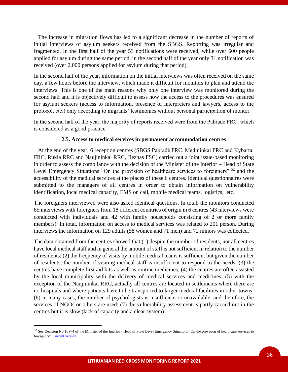The increase in migration flows has led to a significant decrease in the number of reports of initial interviews of asylum seekers received from the SBGS. Reporting was irregular and fragmented. In the first half of the year 53 notifications were received, while over 600 people applied for asylum during the same period, in the second half of the year only 31 notification was received (over 2,000 persons applied for asylum during that period).

In the second half of the year, information on the initial interviews was often received on the same day, a few hours before the interview, which made it difficult for monitors to plan and attend the interviews. This is one of the main reasons why only one interview was monitored during the second half and it is objectively difficult to assess how the access to the procedures was ensured for asylum seekers (access to information, presence of interpreters and lawyers, access to the protocol, etc.) only according to migrants' testimonies without personal participation of montor.

In the second half of the year, the majority of reports received were from the Pabradė FRC, which is considered as a good practice.

# **2.5. Access to medical services in permanent accommodation centres**

 At the end of the year, 6 reception centres (SBGS Pabradė FRC, Medininkai FRC and Kybartai FRC, Rukla RRC and Naujininkai RRC, Jieznas FSC) carried out a joint issue-based monitoring in order to assess the compliance with the decision of the Minister of the Interior – Head of State Level Emergency Situations "On the provision of healthcare services to foreigners" <sup>52</sup> and the accessibility of the medical services at the places of these 6 centres. Identical questionnaires were submitted to the managers of all centres in order to obtain information on vulnerability identification, local medical capacity, EMS on call, mobile medical teams, logistics, etc.

The foreigners interviewed were also asked identical questions. In total, the monitors conducted 85 interviews with foreigners from 18 different countries of origin in 6 centres (43 interviews were conducted with individuals and 42 with family households consisting of 2 or more family members). In total, information on access to medical services was related to 201 person. During interviews the information on 129 adults (58 women and 71 men) and 72 minors was collected.

The data obtained from the centres showed that (1) despite the number of residents, not all centres have local medical staff and in general the amount of staff is not sufficient in relation to the number of residents; (2) the frequency of visits by mobile medical teams is sufficient but given the number of residents, the number of visiting medical staff is insufficient to respond to the needs; (3) the centres have complete first aid kits as well as routine medicines; (4) the centres are often assisted by the local municipality with the delivery of medical services and medicines; (5) with the exception of the Naujininkai RRC, actually all centres are located in settlements where there are no hospitals and where patients have to be transported to larger medical facilities in other towns; (6) in many cases, the number of psychologists is insufficient or unavailable, and therefore, the services of NGOs or others are used; (7) the vulnerability assessment is partly carried out in the centres but it is slow (lack of capacity and a clear system).

<sup>&</sup>lt;sup>52</sup> See Decision No 10V-4 of the Minister of the Interior - Head of State Level Emergency Situations "On the provision of healthcare services to foreigners"[. Current version.](https://www.e-tar.lt/portal/legalAct.html?documentId=e2fc4ab026d411ecad73e69048767e8c)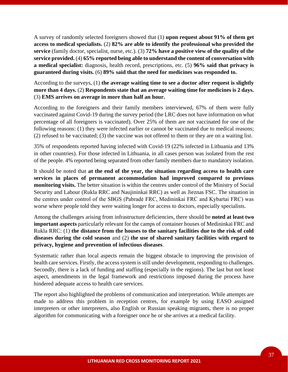A survey of randomly selected foreigners showed that (1) **upon request about 91% of them get access to medical specialists.** (2) **82% are able to identify the professional who provided the service** (family doctor, specialist, nurse, etc.). (3) **72% have a positive view of the quality of the service provided.** (4) **65% reported being able to understand the content of conversation with a medical specialist:** diagnosis, health record, prescriptions, etc. (5) **96% said that privacy is guaranteed during visits.** (6) **89% said that the need for medicines was responded to.**

According to the surveys, (1) **the average waiting time to see a doctor after request is slightly more than 4 days.** (2) **Respondents state that an average waiting time for medicines is 2 days.** (3) **EMS arrives on average in more than half an hour.**

According to the foreigners and their family members interviewed, 67% of them were fully vaccinated against Covid-19 during the survey period (the LRC does not have information on what percentage of all foreigners is vaccinated). Over 25% of them are not vaccinated for one of the following reasons: (1) they were infected earlier or cannot be vaccinated due to medical reasons; (2) refused to be vaccinated; (3) the vaccine was not offered to them or they are on a waiting list.

35% of respondents reported having infected with Covid-19 (22% infected in Lithuania and 13% in other countries). For those infected in Lithuania, in all cases person was isolated from the rest of the people. 4% reported being separated from other family members due to mandatory isolation.

It should be noted that **at the end of the year, the situation regarding access to health care services in places of permanent accommodation had improved compared to previous monitoring visits.** The better situation is within the centres under control of the Ministry of Social Security and Labour (Rukla RRC and Naujininkai RRC) as well as Jieznas FSC. The situation in the centres under control of the SBGS (Pabradė FRC, Medininkai FRC and Kybartai FRC) was worse where people told they were waiting longer for access to doctors, especially specialists.

Among the challenges arising from infrastructure deficiencies, there should be **noted at least two important aspects** particularly relevant for the camps of container houses of Medininkai FRC and Rukla RRC: (1) **the distance from the houses to the sanitary facilities due to the risk of cold diseases during the cold season** and (2) **the use of shared sanitary facilities with regard to privacy, hygiene and prevention of infectious diseases**.

Systematic rather than local aspects remain the biggest obstacle to improving the provision of health care services. Firstly, the access system is still under development, responding to challenges. Secondly, there is a lack of funding and staffing (especially in the regions). The last but not least aspect, amendments in the legal framework and restrictions imposed during the process have hindered adequate access to health care services.

The report also highlighted the problems of communication and interpretation. While attempts are made to address this problem in reception centres, for example by using EASO assigned interpreters or other interpreters, also English or Russian speaking migrants, there is no proper algorithm for communicating with a foreigner once he or she arrives at a medical facility.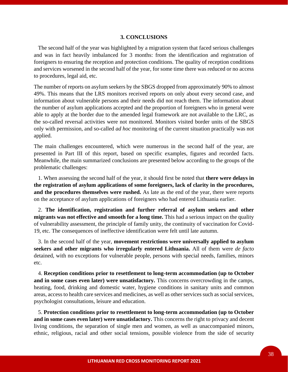#### **3. CONCLUSIONS**

 The second half of the year was highlighted by a migration system that faced serious challenges and was in fact heavily imbalanced for 3 months: from the identification and registration of foreigners to ensuring the reception and protection conditions. The quality of reception conditions and services worsened in the second half of the year, for some time there was reduced or no access to procedures, legal aid, etc.

The number of reports on asylum seekers by the SBGS dropped from approximately 90% to almost 49%. This means that the LRS monitors received reports on only about every second case, and information about vulnerable persons and their needs did not reach them. The information about the number of asylum applications accepted and the proportion of foreigners who in general were able to apply at the border due to the amended legal framework are not available to the LRC, as the so-called reversal activities were not monitored. Monitors visited border units of the SBGS only with permission, and so-called *ad hoc* monitoring of the current situation practically was not applied.

The main challenges encountered, which were numerous in the second half of the year, are presented in Part III of this report, based on specific examples, figures and recorded facts. Meanwhile, the main summarized conclusions are presented below according to the groups of the problematic challenges:

 1. When assessing the second half of the year, it should first be noted that **there were delays in the registration of asylum applications of some foreigners, lack of clarity in the procedures, and the procedures themselves were rushed.** As late as the end of the year, there were reports on the acceptance of asylum applications of foreigners who had entered Lithuania earlier.

 2. **The identification, registration and further referral of asylum seekers and other migrants was not effective and smooth for a long time.** This had a serious impact on the quality of vulnerability assessment, the principle of family unity, the continuity of vaccination for Covid-19, etc. The consequences of ineffective identification were felt until late autumn.

 3. In the second half of the year, **movement restrictions were universally applied to asylum seekers and other migrants who irregularly entered Lithuania.** All of them were *de facto* detained, with no exceptions for vulnerable people, persons with special needs, families, minors etc.

 4. **Reception conditions prior to resettlement to long-term accommodation (up to October and in some cases even later) were unsatisfactory.** This concerns overcrowding in the camps, heating, food, drinking and domestic water, hygiene conditions in sanitary units and common areas, access to health care services and medicines, as well as other services such as social services, psychologist consultations, leisure and education.

 5. **Protection conditions prior to resettlement to long-term accommodation (up to October and in some cases even later) were unsatisfactory.** This concerns the right to privacy and decent living conditions, the separation of single men and women, as well as unaccompanied minors, ethnic, religious, racial and other social tensions, possible violence from the side of security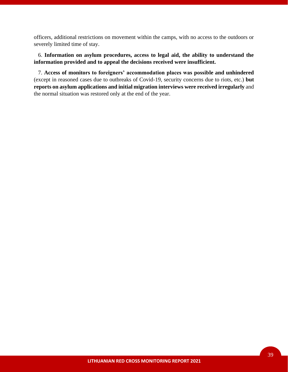officers, additional restrictions on movement within the camps, with no access to the outdoors or severely limited time of stay.

 6. **Information on asylum procedures, access to legal aid, the ability to understand the information provided and to appeal the decisions received were insufficient.** 

 7. **Access of monitors to foreigners' accommodation places was possible and unhindered** (except in reasoned cases due to outbreaks of Covid-19, security concerns due to riots, etc.) **but reports on asylum applications and initial migration interviews were received irregularly** and the normal situation was restored only at the end of the year.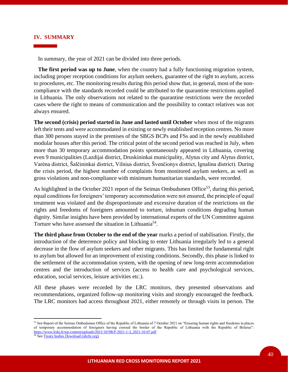#### **IV. SUMMARY**

In summary, the year of 2021 can be divided into three periods.

 **The first period was up to June**, when the country had a fully functioning migration system, including proper reception conditions for asylum seekers, guarantee of the right to asylum, access to procedures, etc. The monitoring results during this period show that, in general, most of the noncompliance with the standards recorded could be attributed to the quarantine restrictions applied in Lithuania. The only observations not related to the quarantine restrictions were the recorded cases where the right to means of communication and the possibility to contact relatives was not always ensured.

**The second (crisis) period started in June and lasted until October** when most of the migrants left their tents and were accommodated in existing or newly established reception centres. No more than 300 persons stayed in the premises of the SBGS BCPs and FSs and in the newly established modular houses after this period. The critical point of the second period was reached in July, when more than 30 temporary accommodation points spontaneously appeared in Lithuania, covering even 9 municipalities (Lazdijai district, Druskininkai municipality, Alytus city and Alytus district, Varėna district, Šalčininkai district, Vilnius district, Švenčionys district, Ignalina district). During the crisis period, the highest number of complaints from monitored asylum seekers, as well as gross violations and non-compliance with minimum humanitarian standards, were recorded.

As highlighted in the October 2021 report of the Seimas Ombudsmen Office<sup>53</sup>, during this period, equal conditions for foreigners' temporary accommodation were not ensured, the principle of equal treatment was violated and the disproportionate and excessive duration of the restrictions on the rights and freedoms of foreigners amounted to torture, inhuman conditions degrading human dignity. Similar insights have been provided by international experts of the UN Committee against Torture who have assessed the situation in Lithuania<sup>54</sup>.

**The third phase from October to the end of the year** marks a period of stabilisation. Firstly, the introduction of the deterrence policy and blocking to enter Lithuania irregularly led to a general decrease in the flow of asylum seekers and other migrants. This has limited the fundamental right to asylum but allowed for an improvement of existing conditions. Secondly, this phase is linked to the settlement of the accommodation system, with the opening of new long-term accommodation centres and the introduction of services (access to health care and psychological services, education, social services, leisure activities etc.).

All these phases were recorded by the LRC monitors, they presented observations and recommendations, organized follow-up monitoring visits and strongly encouraged the feedback. The LRC monitors had access throughout 2021, either remotely or through visits in person. The

<sup>53</sup> See Report of the Seimas Ombudsmen Office of the Republic of Lithuania of 7 October 2021 on "Ensuring human rights and freedoms in places of temporary accommodation of foreigners having crossed the border of the Republic of Lithuania with the Republic of Belarus": [https://www.lrski.lt/wp-content/uploads/2021/10/NKP-2021-1-3\\_2021-10-07.pdf](https://www.lrski.lt/wp-content/uploads/2021/10/NKP-2021-1-3_2021-10-07.pdf)

<sup>&</sup>lt;sup>54</sup> Se[e Treaty bodies Download \(ohchr.org\)](https://tbinternet.ohchr.org/_layouts/15/treatybodyexternal/Download.aspx?symbolno=CAT%2fC%2fLTU%2fCO%2f4&Lang=en)